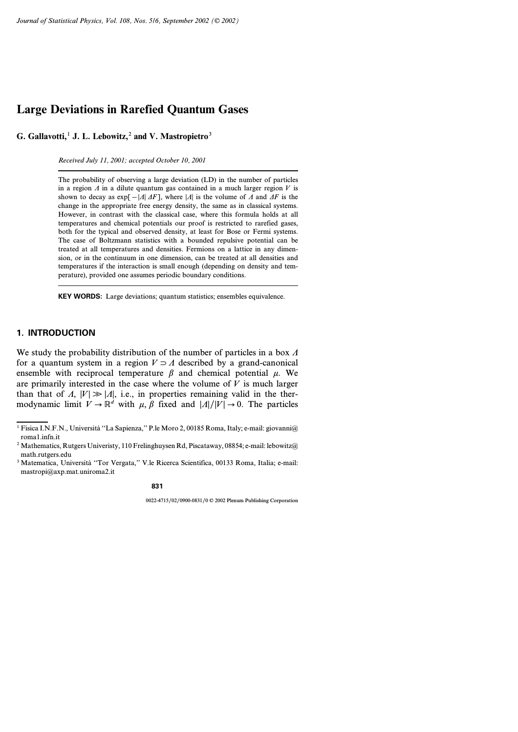**G. Gallavotti,**<sup>1</sup> **J. L. Lebowitz,**<sup>2</sup> **and V. Mastropietro**<sup>3</sup>

*Received July 11, 2001; accepted October 10, 2001*

The probability of observing a large deviation (LD) in the number of particles in a region  $\Lambda$  in a dilute quantum gas contained in a much larger region  $V$  is shown to decay as exp[ $-|A| \, dF$ ], where  $|A|$  is the volume of *L* and  $\Delta F$  is the change in the appropriate free energy density, the same as in classical systems. However, in contrast with the classical case, where this formula holds at all temperatures and chemical potentials our proof is restricted to rarefied gases, both for the typical and observed density, at least for Bose or Fermi systems. The case of Boltzmann statistics with a bounded repulsive potential can be treated at all temperatures and densities. Fermions on a lattice in any dimension, or in the continuum in one dimension, can be treated at all densities and temperatures if the interaction is small enough (depending on density and temperature), provided one assumes periodic boundary conditions.

**KEY WORDS:** Large deviations; quantum statistics; ensembles equivalence.

## **1. INTRODUCTION**

We study the probability distribution of the number of particles in a box *L* for a quantum system in a region  $V \supset A$  described by a grand-canonical ensemble with reciprocal temperature  $\beta$  and chemical potential  $\mu$ . We are primarily interested in the case where the volume of *V* is much larger than that of *A*,  $|V| \gg |A|$ , i.e., in properties remaining valid in the thermodynamic limit  $V \to \mathbb{R}^d$  with  $\mu$ ,  $\beta$  fixed and  $|A|/|V| \to 0$ . The particles

<sup>&</sup>lt;sup>1</sup> Fisica I.N.F.N., Università "La Sapienza," P.le Moro 2, 00185 Roma, Italy; e-mail: giovanni $@$ roma1.infn.it

<sup>&</sup>lt;sup>2</sup> Mathematics, Rutgers Univeristy, 110 Frelinghuysen Rd, Piscataway, 08854; e-mail: lebowitz@ math.rutgers.edu

<sup>&</sup>lt;sup>3</sup> Matematica, Università "Tor Vergata," V.le Ricerca Scientifica, 00133 Roma, Italia; e-mail: mastropi@axp.mat.uniroma2.it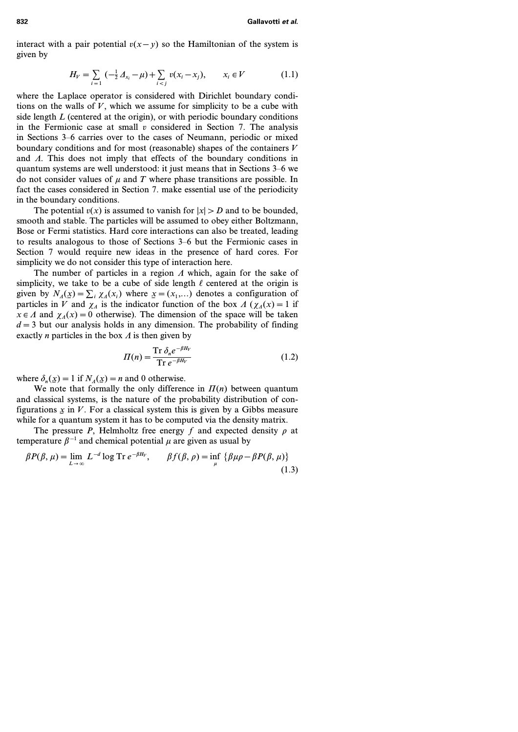interact with a pair potential  $v(x - y)$  so the Hamiltonian of the system is given by

$$
H_V = \sum_{i=1}^{\infty} \left(-\frac{1}{2}A_{x_i} - \mu\right) + \sum_{i < j} v(x_i - x_j), \qquad x_i \in V \tag{1.1}
$$

where the Laplace operator is considered with Dirichlet boundary conditions on the walls of *V*, which we assume for simplicity to be a cube with side length *L* (centered at the origin), or with periodic boundary conditions in the Fermionic case at small  $v$  considered in Section 7. The analysis in Sections 3–6 carries over to the cases of Neumann, periodic or mixed boundary conditions and for most (reasonable) shapes of the containers *V* and *A*. This does not imply that effects of the boundary conditions in quantum systems are well understood: it just means that in Sections 3–6 we do not consider values of  $\mu$  and  $T$  where phase transitions are possible. In fact the cases considered in Section 7. make essential use of the periodicity in the boundary conditions.

The potential  $v(x)$  is assumed to vanish for  $|x| > D$  and to be bounded, smooth and stable. The particles will be assumed to obey either Boltzmann, Bose or Fermi statistics. Hard core interactions can also be treated, leading to results analogous to those of Sections 3–6 but the Fermionic cases in Section 7 would require new ideas in the presence of hard cores. For simplicity we do not consider this type of interaction here.

The number of particles in a region *A* which, again for the sake of simplicity, we take to be a cube of side length  $\ell$  centered at the origin is given by  $N_A(\underline{x}) = \sum_i \chi_A(x_i)$  where  $\underline{x} = (x_1, \dots)$  denotes a configuration of particles in *V* and  $\chi_A$  is the indicator function of the box *A* ( $\chi_A(x) = 1$  if  $x \in A$  and  $\chi_A(x) = 0$  otherwise). The dimension of the space will be taken  $d=3$  but our analysis holds in any dimension. The probability of finding exactly *n* particles in the box  $\Lambda$  is then given by

$$
\Pi(n) = \frac{\operatorname{Tr} \delta_n e^{-\beta H_V}}{\operatorname{Tr} e^{-\beta H_V}}\tag{1.2}
$$

where  $\delta_n(\mathbf{x}) = 1$  if  $N_A(\mathbf{x}) = n$  and 0 otherwise.

 $\sum_{n=1}^{\infty}$   $\frac{d}{dx}$   $\sum_{n=1}^{\infty}$  *n* and  $\sum_{n=1}^{\infty}$  contracts. and classical systems, is the nature of the probability distribution of configurations  $\dot{x}$  in *V*. For a classical system this is given by a Gibbs measure<br>while for a quantum system it has to be computed via the density matrix while for a quantum system it has to be computed via the density matrix.

The pressure *P*, Helmholtz free energy *f* and expected density  $\rho$  at temperature  $\beta^{-1}$  and chemical potential  $\mu$  are given as usual by

$$
\beta P(\beta, \mu) = \lim_{L \to \infty} L^{-d} \log \text{Tr} \, e^{-\beta H_V}, \qquad \beta f(\beta, \rho) = \inf_{\mu} \left\{ \beta \mu \rho - \beta P(\beta, \mu) \right\} \tag{1.3}
$$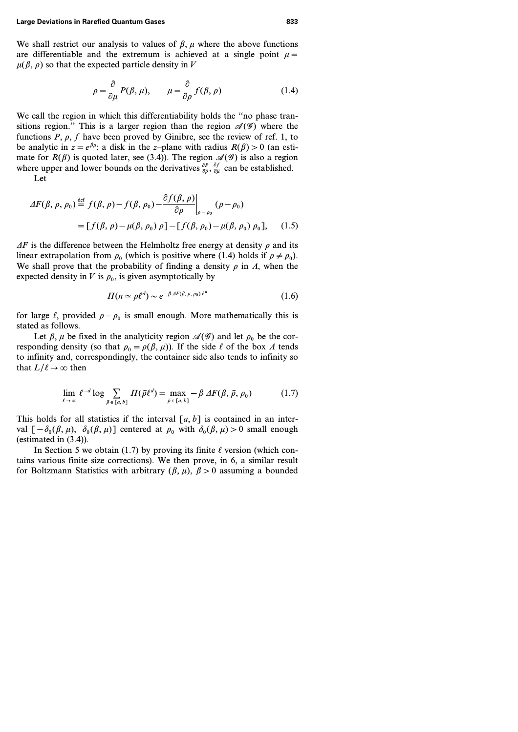We shall restrict our analysis to values of  $\beta$ ,  $\mu$  where the above functions are differentiable and the extremum is achieved at a single point  $\mu =$  $\mu(\beta, \rho)$  so that the expected particle density in *V* 

$$
\rho = \frac{\partial}{\partial \mu} P(\beta, \mu), \qquad \mu = \frac{\partial}{\partial \rho} f(\beta, \rho) \tag{1.4}
$$

We call the region in which this differentiability holds the ''no phase transitions region." This is a larger region than the region  $\mathcal{A}(\mathcal{G})$  where the functions  $P$ ,  $\rho$ ,  $f$  have been proved by Ginibre, see the review of ref. 1, to be analytic in  $z = e^{\beta \mu}$ : a disk in the *z*-plane with radius  $R(\beta) > 0$  (an estimate for  $R(\beta)$  is quoted later, see (3.4)). The region  $\mathcal{A}(\mathcal{G})$  is also a region where upper and lower bounds on the derivatives  $\frac{\partial P}{\partial \rho}$ ,  $\frac{\partial f}{\partial \mu}$  can be established. Let

$$
\Delta F(\beta, \rho, \rho_0) \stackrel{\text{def}}{=} f(\beta, \rho) - f(\beta, \rho_0) - \frac{\partial f(\beta, \rho)}{\partial \rho} \Big|_{\rho = \rho_0} (\rho - \rho_0)
$$
  
=  $[f(\beta, \rho) - \mu(\beta, \rho_0) \rho] - [f(\beta, \rho_0) - \mu(\beta, \rho_0) \rho_0],$  (1.5)

 $\Delta F$  is the difference between the Helmholtz free energy at density  $\rho$  and its linear extrapolation from  $\rho_0$  (which is positive where (1.4) holds if  $\rho \neq \rho_0$ ). We shall prove that the probability of finding a density  $\rho$  in  $\Lambda$ , when the expected density in *V* is  $\rho_0$ , is given asymptotically by

$$
\Pi(n \simeq \rho \ell^d) \sim e^{-\beta \, \Delta F(\beta, \, \rho, \, \rho_0) \, \ell^d} \tag{1.6}
$$

for large  $\ell$ , provided  $\rho - \rho_0$  is small enough. More mathematically this is stated as follows.

Let  $\beta$ ,  $\mu$  be fixed in the analyticity region  $\mathcal{A}(\mathcal{G})$  and let  $\rho_0$  be the corresponding density (so that  $\rho_0 = \rho(\beta, \mu)$ ). If the side  $\ell$  of the box  $\Lambda$  tends to infinity and, correspondingly, the container side also tends to infinity so that  $L/\ell \rightarrow \infty$  then

$$
\lim_{\ell \to \infty} \ell^{-d} \log \sum_{\tilde{\rho} \in [a, b]} \Pi(\tilde{\rho} \ell^{d}) = \max_{\tilde{\rho} \in [a, b]} -\beta \Delta F(\beta, \tilde{\rho}, \rho_0) \tag{1.7}
$$

This holds for all statistics if the interval  $[a, b]$  is contained in an interval  $[-\delta_0(\beta,\mu), \delta_0(\beta,\mu)]$  centered at  $\rho_0$  with  $\delta_0(\beta,\mu) > 0$  small enough (estimated in (3.4)).

In Section 5 we obtain (1.7) by proving its finite  $\ell$  version (which contains various finite size corrections). We then prove, in 6, a similar result for Boltzmann Statistics with arbitrary  $(\beta, \mu)$ ,  $\beta > 0$  assuming a bounded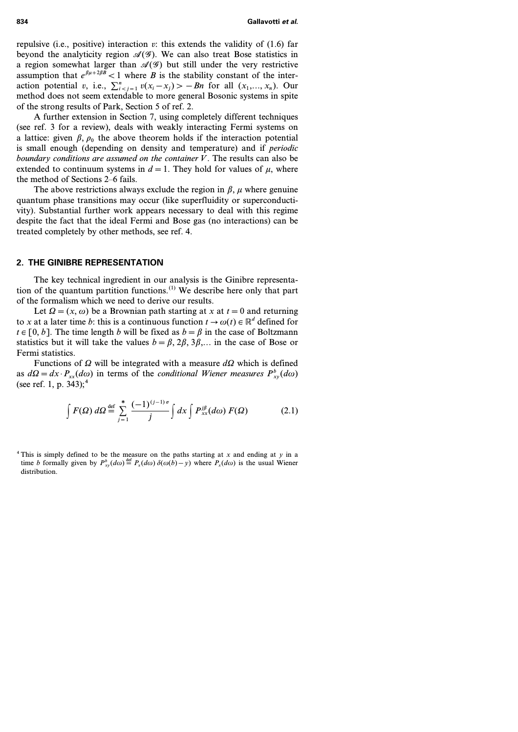repulsive (i.e., positive) interaction  $v$ : this extends the validity of  $(1.6)$  far beyond the analyticity region  $\mathcal{A}(\mathcal{G})$ . We can also treat Bose statistics in a region somewhat larger than  $\mathcal{A}(\mathcal{G})$  but still under the very restrictive assumption that  $e^{\beta \mu + 2\beta B} < 1$  where *B* is the stability constant of the interaction potential *v*, i.e.,  $\sum_{i=1}^{n} v(x_i - x_j) > -Bn$  for all  $(x_1, \ldots, x_n)$ . Our method does not seem extendable to more general Bosonic systems in spite of the strong results of Park, Section 5 of ref. 2.

A further extension in Section 7, using completely different techniques (see ref. 3 for a review), deals with weakly interacting Fermi systems on a lattice: given  $\beta$ ,  $\rho_0$  the above theorem holds if the interaction potential is small enough (depending on density and temperature) and if *periodic boundary conditions are assumed on the container V*. The results can also be extended to continuum systems in  $d=1$ . They hold for values of  $\mu$ , where the method of Sections 2–6 fails.

The above restrictions always exclude the region in  $\beta$ ,  $\mu$  where genuine quantum phase transitions may occur (like superfluidity or superconductivity). Substantial further work appears necessary to deal with this regime despite the fact that the ideal Fermi and Bose gas (no interactions) can be treated completely by other methods, see ref. 4.

## **2. THE GINIBRE REPRESENTATION**

The key technical ingredient in our analysis is the Ginibre representation of the quantum partition functions.<sup>(1)</sup> We describe here only that part of the formalism which we need to derive our results.

Let  $\Omega = (x, \omega)$  be a Brownian path starting at *x* at  $t = 0$  and returning to *x* at a later time *b*: this is a continuous function  $t \to \omega(t) \in \mathbb{R}^d$  defined for  $t \in [0, b]$ . The time length *b* will be fixed as  $b = \beta$  in the case of Boltzmann statistics but it will take the values  $b = \beta$ ,  $2\beta$ ,  $3\beta$ ,... in the case of Bose or Fermi statistics.

Functions of  $\Omega$  will be integrated with a measure  $d\Omega$  which is defined as  $d\Omega = dx \cdot P_{xx}(d\omega)$  in terms of the *conditional Wiener measures*  $P_{xy}^b(d\omega)$ (see ref. 1, p.  $343$ );<sup>4</sup>

$$
\int F(\Omega) d\Omega \stackrel{\text{def}}{=} \sum_{j=1}^{*} \frac{(-1)^{(j-1)\sigma}}{j} \int dx \int P_{xx}^{j\beta}(d\omega) F(\Omega) \tag{2.1}
$$

<sup>4</sup> This is simply defined to be the measure on the paths starting at *x* and ending at *y* in a time *b* formally given by  $P_{xy}^b(d\omega) \stackrel{\text{def}}{=} P_x(d\omega) \delta(\omega(b) - y)$  where  $P_x(d\omega)$  is the usual Wiener distribution.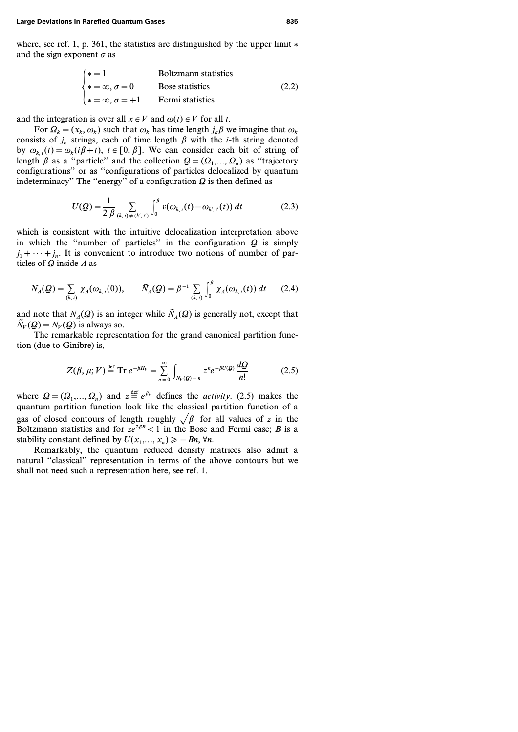where, see ref. 1, p. 361, the statistics are distinguished by the upper limit  $*$ and the sign exponent  $\sigma$  as

$$
\begin{cases}\n\ast = 1 & \text{Boltzmann statistics} \\
\ast = \infty, \sigma = 0 & \text{Bose statistics} \\
\ast = \infty, \sigma = +1 & \text{Fermi statistics}\n\end{cases} \tag{2.2}
$$

and the integration is over all  $x \in V$  and  $\omega(t) \in V$  for all *t*.

For  $\Omega_k = (x_k, \omega_k)$  such that  $\omega_k$  has time length  $j_k \beta$  we imagine that  $\omega_k$ consists of  $j_k$  strings, each of time length  $\beta$  with the *i*-th string denoted by  $\omega_{k,i}(t) = \omega_{k}(i\beta+t)$ ,  $t \in [0, \beta]$ . We can consider each bit of string of length  $\beta$  as a "particle" and the collection  $\Omega = (\Omega_1, \dots, \Omega_n)$  as "trajectory<br>configurations" or as "configurations of particles delocalized by quantum configurations'' or as ''configurations of particles delocalized by quantum indeterminacy" The "energy" of a configuration  $\Omega$  is then defined as

$$
U(\mathcal{Q}) = \frac{1}{2 \beta} \sum_{(k,i) \neq (k',i')} \int_0^\beta v(\omega_{k,i}(t) - \omega_{k',i'}(t)) dt
$$
 (2.3)

which is consistent with the intuitive delocalization interpretation above in which the "number of particles" in the configuration  $\Omega$  is simply  $i + \ldots + i$ . It is convenient to introduce two notions of number of par $j_1 + \cdots + j_n$ . It is convenient to introduce two notions of number of particles of  $\Omega$  inside  $\Lambda$  as

$$
N_A(\mathcal{Q}) = \sum_{(k,i)} \chi_A(\omega_{k,i}(0)), \qquad \tilde{N}_A(\mathcal{Q}) = \beta^{-1} \sum_{(k,i)} \int_0^\beta \chi_A(\omega_{k,i}(t)) dt \qquad (2.4)
$$

and note that  $N_A(\mathcal{Q})$  is an integer while  $\tilde{N}_A(\mathcal{Q})$  is generally not, except that  $\tilde{N}_A(\mathcal{Q}) = N_A(\mathcal{Q})$  is always so  $\tilde{N}_V(\mathbf{Q}) = N_V(\mathbf{Q})$  is always so.<br>The remarkable represent

The remarkable representation for the grand canonical partition function (due to Ginibre) is,

$$
Z(\beta, \mu; V) \stackrel{\text{def}}{=} \text{Tr } e^{-\beta H_V} = \sum_{n=0}^{\infty} \int_{N_V(\mathcal{Q})=n} z^n e^{-\beta U(\mathcal{Q})} \frac{d\mathcal{Q}}{n!}
$$
 (2.5)

where  $\mathcal{Q} = (Q_1, ..., Q_n)$  and  $z \stackrel{\text{def}}{=} e^{\beta \mu}$  defines the *activity*. (2.5) makes the *quantum* partition function look like the classical partition function of a quantum partition function look like the classical partition function of a gas of closed contours of length roughly  $\sqrt{\beta}$  for all values of *z* in the Boltzmann statistics and for  $ze^{2\beta B}$  < 1 in the Bose and Fermi case; *B* is a stability constant defined by  $U(x_1, \ldots, x_n) \ge -Bn, \forall n$ .

Remarkably, the quantum reduced density matrices also admit a natural ''classical'' representation in terms of the above contours but we shall not need such a representation here, see ref. 1.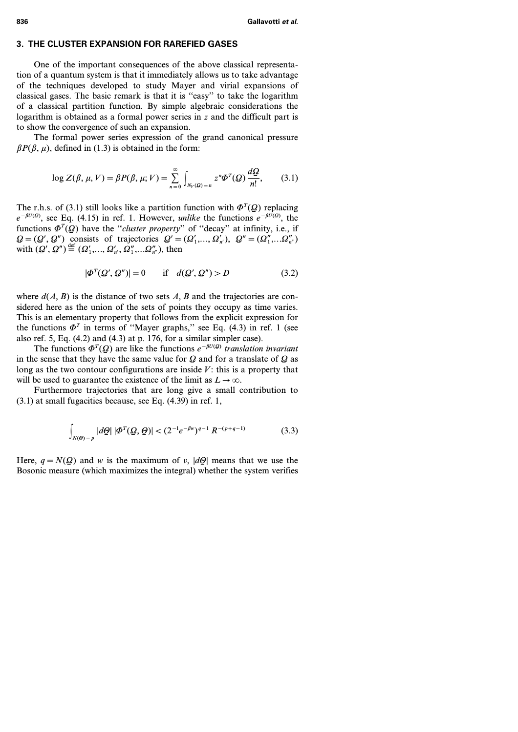## **3. THE CLUSTER EXPANSION FOR RAREFIED GASES**

One of the important consequences of the above classical representation of a quantum system is that it immediately allows us to take advantage of the techniques developed to study Mayer and virial expansions of classical gases. The basic remark is that it is ''easy'' to take the logarithm of a classical partition function. By simple algebraic considerations the logarithm is obtained as a formal power series in *z* and the difficult part is to show the convergence of such an expansion.

The formal power series expression of the grand canonical pressure  $\beta P(\beta, \mu)$ , defined in (1.3) is obtained in the form:

$$
\log Z(\beta, \mu, V) = \beta P(\beta, \mu; V) = \sum_{n=0}^{\infty} \int_{N_V(\mathcal{Q})=n} z^n \Phi^T(\mathcal{Q}) \frac{d\mathcal{Q}}{n!},
$$
 (3.1)

The r.h.s. of (3.1) still looks like a partition function with  $\Phi^T(\Omega)$  replacing  $e^{-\beta U(\Omega)}$  see Eq. (4.15) in ref. 1. However, unlike the functions  $e^{-\beta U(\Omega)}$  the  $e^{-\beta U(\Omega)}$ , see Eq. (4.15) in ref. 1. However, *unlike* the functions  $e^{-\beta U(\Omega)}$ , the functions  $\Phi^T(\Omega)$  have the "*cluster property*" of "decay" at infinity, i.e., if functions  $\Phi^T(\Omega)$  have the "*cluster property*" of "decay" at infinity, i.e., if  $\Omega = (\Omega', \Omega'')$  consists of trajectories  $\Omega' = (\Omega'_1, ..., \Omega'_{n'})$ ,  $\Omega'' = (\Omega''_1, ..., \Omega''_{n'})$ <br>with  $(\Omega', \Omega'')$  def  $(\Omega', \Omega'', \Omega''', \Omega'')$  then with  $(\mathbf{Q}', \mathbf{Q}^{\prime\prime}) \stackrel{\text{def}}{=} (\Omega'_1, \dots, \Omega'_{n'}, \Omega''_1, \dots \Omega''_{n'})$ , then

$$
|\Phi^T(\mathcal{Q}', \mathcal{Q}'')| = 0 \quad \text{if} \quad d(\mathcal{Q}', \mathcal{Q}'') > D \tag{3.2}
$$

where  $d(A, B)$  is the distance of two sets  $A, B$  and the trajectories are considered here as the union of the sets of points they occupy as time varies. This is an elementary property that follows from the explicit expression for the functions  $\Phi^T$  in terms of "Mayer graphs," see Eq. (4.3) in ref. 1 (see also ref. 5, Eq. (4.2) and (4.3) at p. 176, for a similar simpler case).

The functions  $\Phi^T(\Omega)$  are like the functions  $e^{-\beta U(\Omega)}$  *translation invariant*  $e$  cense that they have the same value for Q and for a translate of Q as in the sense that they have the same value for  $\Omega$  and for a translate of  $\Omega$  as  $\frac{1}{\Omega}$  as the two contour configurations are inside *V*: this is a property that long as the two contour configurations are inside *V*: this is a property that will be used to guarantee the existence of the limit as  $L \to \infty$ .

Furthermore trajectories that are long give a small contribution to (3.1) at small fugacities because, see Eq. (4.39) in ref. 1,

$$
\int_{N(\Theta) = p} |d\Theta| |\Phi^T(\Omega, \Theta)| < (2^{-1} e^{-\beta w})^{q-1} R^{-(p+q-1)}
$$
\n(3.3)

Here,  $q = N(\Omega)$  and *w* is the maximum of *v*,  $|d\Theta|$  means that we use the position measure (which maximizes the integral) whether the system verifies Bosonic measure (which maximizes the integral) whether the system verifies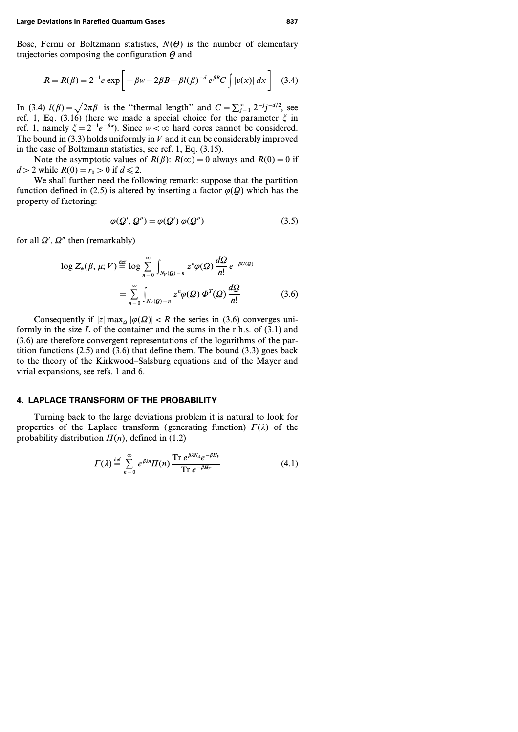Bose, Fermi or Boltzmann statistics,  $N(\mathcal{Q})$  is the number of elementary trajectories composing the configuration  $\Theta$  and

$$
R = R(\beta) = 2^{-1}e \exp\left[-\beta w - 2\beta B - \beta l(\beta)^{-d} e^{\beta B} C \int |v(x)| dx\right]
$$
 (3.4)

In (3.4)  $l(\beta) = \sqrt{2\pi\beta}$  is the "thermal length" and  $C = \sum_{j=1}^{\infty} 2^{-j}j^{-d/2}$ , see ref. 1, Eq.  $(3.16)$  (here we made a special choice for the parameter  $\xi$  in ref. 1, namely  $\xi = 2^{-1}e^{-\beta w}$ . Since  $w < \infty$  hard cores cannot be considered. The bound in  $(3.3)$  holds uniformly in  $V$  and it can be considerably improved in the case of Boltzmann statistics, see ref. 1, Eq. (3.15).

Note the asymptotic values of  $R(\beta)$ :  $R(\infty) = 0$  always and  $R(0) = 0$  if *d* > 2 while  $R(0) = r_0 > 0$  if  $d \le 2$ .

We shall further need the following remark: suppose that the partition function defined in (2.5) is altered by inserting a factor  $\varphi(\Omega)$  which has the property of factoring: property of factoring:

$$
\varphi(\mathcal{Q}', \mathcal{Q}'') = \varphi(\mathcal{Q}') \varphi(\mathcal{Q}'')
$$
\n(3.5)

for all  $Q'$ ,  $Q''$  then (remarkably)

$$
\log Z_{\phi}(\beta, \mu; V) \stackrel{\text{def}}{=} \log \sum_{n=0}^{\infty} \int_{N_V(\mathcal{Q})=n} z^n \varphi(\mathcal{Q}) \frac{d\mathcal{Q}}{n!} e^{-\beta U(\mathcal{Q})}
$$

$$
= \sum_{n=0}^{\infty} \int_{N_V(\mathcal{Q})=n} z^n \varphi(\mathcal{Q}) \Phi^T(\mathcal{Q}) \frac{d\mathcal{Q}}{n!}
$$
(3.6)

Consequently if  $|z| \max_{Q} |\varphi(Q)| < R$  the series in (3.6) converges uniformly in the size  $L$  of the container and the sums in the r.h.s. of  $(3.1)$  and (3.6) are therefore convergent representations of the logarithms of the partition functions  $(2.5)$  and  $(3.6)$  that define them. The bound  $(3.3)$  goes back to the theory of the Kirkwood–Salsburg equations and of the Mayer and virial expansions, see refs. 1 and 6.

## **4. LAPLACE TRANSFORM OF THE PROBABILITY**

Turning back to the large deviations problem it is natural to look for properties of the Laplace transform (generating function)  $\Gamma(\lambda)$  of the probability distribution  $\Pi(n)$ , defined in (1.2)

$$
\Gamma(\lambda) \stackrel{\text{def}}{=} \sum_{n=0}^{\infty} e^{\beta \lambda n} \Pi(n) \frac{\text{Tr } e^{\beta \lambda N_A} e^{-\beta H_V}}{\text{Tr } e^{-\beta H_V}} \tag{4.1}
$$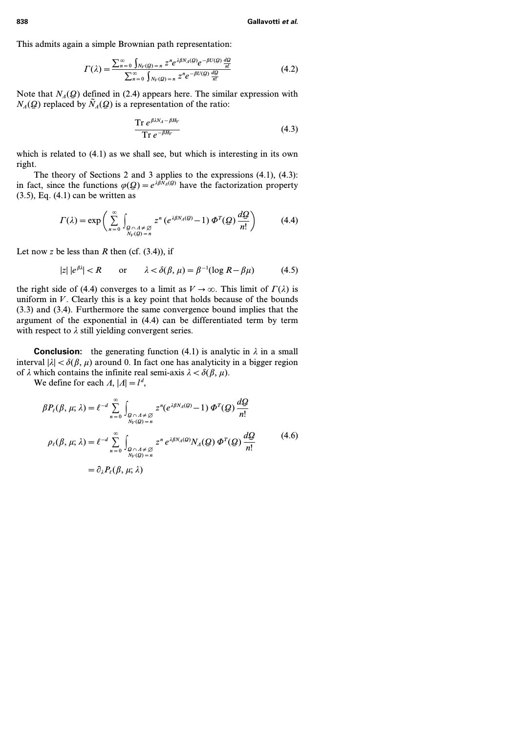This admits again a simple Brownian path representation:

$$
\Gamma(\lambda) = \frac{\sum_{n=0}^{\infty} \int_{N_V(\mathcal{Q})=n} z^n e^{\lambda \beta N_A(\mathcal{Q})} e^{-\beta U(\mathcal{Q})} \frac{d\mathcal{Q}}{n!}}{\sum_{n=0}^{\infty} \int_{N_V(\mathcal{Q})=n} z^n e^{-\beta U(\mathcal{Q})} \frac{d\mathcal{Q}}{n!}}
$$
(4.2)

Note that  $N_A(\Omega)$  defined in (2.4) appears here. The similar expression with  $N_A(\Omega)$  replaced by  $\tilde{N}_A(\Omega)$  is a representation of the ratio:  $N_A(\mathcal{Q})$  replaced by  $\tilde{N}_A(\mathcal{Q})$  is a representation of the ratio:

$$
\frac{\mathrm{Tr} \, e^{\beta \lambda N_A - \beta H_V}}{\mathrm{Tr} \, e^{-\beta H_V}}\tag{4.3}
$$

which is related to  $(4.1)$  as we shall see, but which is interesting in its own right.

The theory of Sections 2 and 3 applies to the expressions (4.1), (4.3): in fact, since the functions  $\varphi(\mathcal{Q}) = e^{\lambda \beta N_A(\mathcal{Q})}$  have the factorization property (3.5). Eq. (4.1) can be written as  $(3.5)$ , Eq.  $(4.1)$  can be written as

$$
\Gamma(\lambda) = \exp\left(\sum_{n=0}^{\infty} \int_{\substack{Q \cap A \neq \emptyset \\ N_V(Q) = n}} z^n \left(e^{\lambda \beta N_A(Q)} - 1\right) \Phi^T(Q) \frac{d\Omega}{n!}\right) \tag{4.4}
$$

Let now z be less than  $R$  then (cf.  $(3.4)$ ), if

$$
|z| \, |e^{\beta \lambda}| < R \qquad \text{or} \qquad \lambda < \delta(\beta, \mu) = \beta^{-1} (\log R - \beta \mu) \tag{4.5}
$$

the right side of (4.4) converges to a limit as  $V \rightarrow \infty$ . This limit of  $\Gamma(\lambda)$  is uniform in  $V$ . Clearly this is a key point that holds because of the bounds (3.3) and (3.4). Furthermore the same convergence bound implies that the argument of the exponential in (4.4) can be differentiated term by term with respect to  $\lambda$  still yielding convergent series.

**Conclusion:** the generating function (4.1) is analytic in  $\lambda$  in a small interval  $|\lambda| < \delta(\beta, \mu)$  around 0. In fact one has analyticity in a bigger region of  $\lambda$  which contains the infinite real semi-axis  $\lambda < \delta(\beta, \mu)$ .

We define for each  $\Lambda$ ,  $|A| = l^d$ ,

$$
\beta P_{\ell}(\beta, \mu; \lambda) = \ell^{-d} \sum_{n=0}^{\infty} \int_{\substack{\Omega \cap \Lambda \neq \emptyset \\ N_V(\Omega) = n}} z^n (e^{\lambda \beta N_A(\Omega)} - 1) \Phi^T(\Omega) \frac{d\Omega}{n!}
$$
  

$$
\rho_{\ell}(\beta, \mu; \lambda) = \ell^{-d} \sum_{n=0}^{\infty} \int_{\substack{\Omega \cap \Lambda \neq \emptyset \\ N_V(\Omega) = n}} z^n e^{\lambda \beta N_A(\Omega)} N_A(\Omega) \Phi^T(\Omega) \frac{d\Omega}{n!}
$$
  

$$
= \partial_{\lambda} P_{\ell}(\beta, \mu; \lambda)
$$
 (4.6)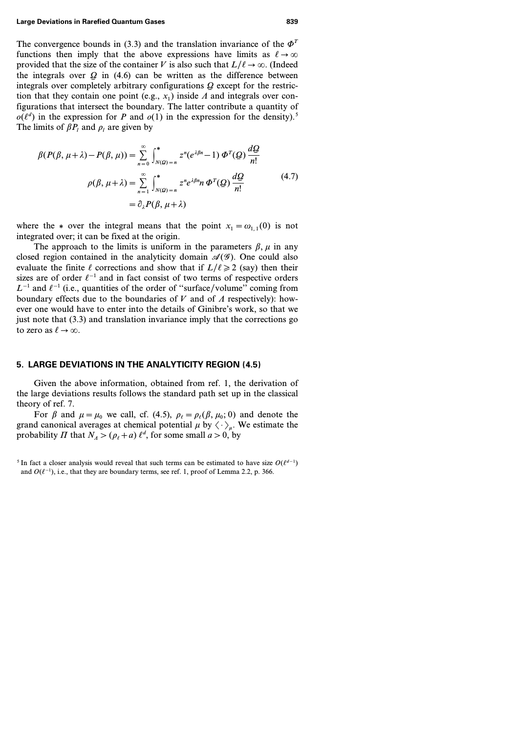The convergence bounds in (3.3) and the translation invariance of the  $\Phi^T$ functions then imply that the above expressions have limits as  $\ell \to \infty$ provided that the size of the container *V* is also such that  $L/\ell \rightarrow \infty$ . (Indeed the integrals over  $\Omega$  in (4.6) can be written as the difference between<br>integrals over completely arbitrary configurations  $\Omega$  except for the restricintegrals over completely arbitrary configurations  $\Omega$  except for the restriction that they contain one point (e.g., x.) inside A and integrals over contion that they contain one point (e.g.,  $x_1$ ) inside  $\Lambda$  and integrals over configurations that intersect the boundary. The latter contribute a quantity of  $o(\ell^d)$  in the expression for *P* and  $o(1)$  in the expression for the density).<sup>5</sup> The limits of  $\beta P_l$  and  $\rho_l$  are given by

$$
\beta(P(\beta, \mu + \lambda) - P(\beta, \mu)) = \sum_{n=0}^{\infty} \int_{N(\mathcal{Q})=n}^{*} z^{n} (e^{\lambda \beta n} - 1) \Phi^{T}(\mathcal{Q}) \frac{d\mathcal{Q}}{n!}
$$

$$
\rho(\beta, \mu + \lambda) = \sum_{n=1}^{\infty} \int_{N(\mathcal{Q})=n}^{*} z^{n} e^{\lambda \beta n} n \Phi^{T}(\mathcal{Q}) \frac{d\mathcal{Q}}{n!}
$$

$$
= \partial_{\lambda} P(\beta, \mu + \lambda)
$$
(4.7)

where the  $*$  over the integral means that the point  $x_1 = \omega_{1,1}(0)$  is not integrated over; it can be fixed at the origin.

The approach to the limits is uniform in the parameters  $\beta$ ,  $\mu$  in any closed region contained in the analyticity domain  $\mathcal{A}(\mathcal{G})$ . One could also evaluate the finite  $\ell$  corrections and show that if  $L/\ell \geq 2$  (say) then their sizes are of order  $\ell^{-1}$  and in fact consist of two terms of respective orders  $L^{-1}$  and  $\ell^{-1}$  (i.e., quantities of the order of "surface/volume" coming from boundary effects due to the boundaries of  $V$  and of  $\Lambda$  respectively): however one would have to enter into the details of Ginibre's work, so that we just note that  $(3.3)$  and translation invariance imply that the corrections go to zero as  $\ell \to \infty$ .

## **5. LARGE DEVIATIONS IN THE ANALYTICITY REGION (4.5)**

Given the above information, obtained from ref. 1, the derivation of the large deviations results follows the standard path set up in the classical theory of ref. 7.

For  $\beta$  and  $\mu = \mu_0$  we call, cf. (4.5),  $\rho_\ell = \rho_\ell(\beta, \mu_0; 0)$  and denote the grand canonical averages at chemical potential  $\mu$  by  $\langle \cdot \rangle_{\mu}$ . We estimate the probability *II* that  $N_A > (\rho_\ell + a) \ell^d$ , for some small  $a > 0$ , by

<sup>&</sup>lt;sup>5</sup> In fact a closer analysis would reveal that such terms can be estimated to have size  $O(\ell^{d-1})$ and  $O(\ell^{-1})$ , i.e., that they are boundary terms, see ref. 1, proof of Lemma 2.2, p. 366.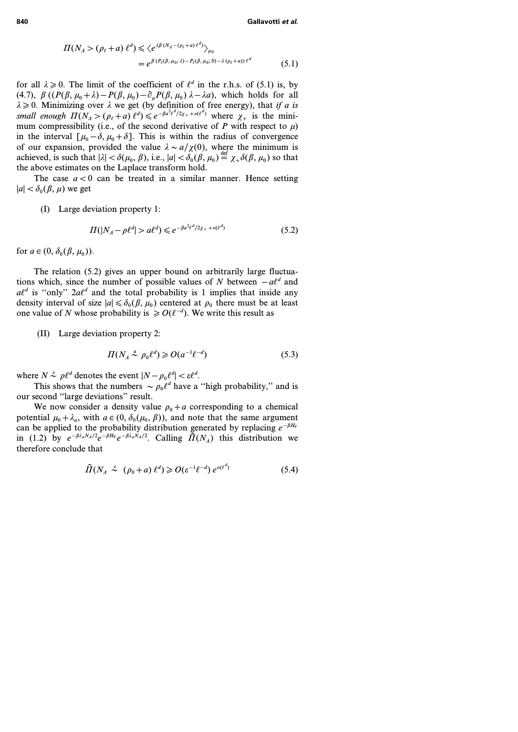**840 Gallavotti** *et al.*

$$
\Pi(N_A > (\rho_\ell + a) \ell^d) \leq \langle e^{\lambda \beta (N_A - (\rho_\ell + a) \ell^d)} \rangle_{\mu_0}
$$
  
=  $e^{\beta (P_\ell(\beta, \mu_0; \lambda) - P_\ell(\beta, \mu_0; 0) - \lambda (\rho_\ell + a)) \ell^d}$  (5.1)

for all  $\lambda \ge 0$ . The limit of the coefficient of  $\ell^d$  in the r.h.s. of (5.1) is, by (4.7),  $\beta ((P(\beta, \mu_0 + \lambda) - P(\beta, \mu_0) - \partial_u P(\beta, \mu_0) \lambda - \lambda a)$ , which holds for all  $\lambda \geq 0$ . Minimizing over  $\lambda$  we get (by definition of free energy), that *if a is* small enough  $\Pi(N_A > (\rho_\ell + a) \ell^d) \leq e^{-\beta a^2 \ell^d/2\chi_+ + o(\ell^d)}$  where  $\chi_+$  is the minimum compressibility (i.e., of the second derivative of *P* with respect to  $\mu$ ) in the interval  $\lceil \mu_0 - \delta, \mu_0 + \delta \rceil$ . This is within the radius of convergence of our expansion, provided the value  $\lambda \sim a/\chi(0)$ , where the minimum is achieved, is such that  $|\lambda| < \delta(\mu_0, \beta)$ , i.e.,  $|a| < \delta_0(\beta, \mu_0) \stackrel{\text{def}}{=} \chi_+ \delta(\beta, \mu_0)$  so that the above estimates on the Laplace transform hold.

The case  $a < 0$  can be treated in a similar manner. Hence setting  $|a| < \delta_0(\beta, \mu)$  we get

(I) Large deviation property 1:

$$
\Pi(|N_A - \rho \ell^d| > a\ell^d) \leqslant e^{-\beta a^2 \ell^d / 2\chi_+ + o(\ell^d)}\tag{5.2}
$$

for  $a \in (0, \delta_0(\beta, \mu_0)).$ 

The relation (5.2) gives an upper bound on arbitrarily large fluctuations which, since the number of possible values of *N* between  $-a\ell^d$  and  $a\ell^d$  is "only"  $2a\ell^d$  and the total probability is 1 implies that inside any density interval of size  $|a| \le \delta_0(\beta, \mu_0)$  centered at  $\rho_0$  there must be at least one value of *N* whose probability is  $\ge O(\ell^{-d})$ . We write this result as

(II) Large deviation property 2:

$$
\Pi(N_A \stackrel{a}{\sim} \rho_0 \ell^d) \geqslant O(a^{-1} \ell^{-d}) \tag{5.3}
$$

where  $N \stackrel{\varepsilon}{\sim} \rho \ell^d$  denotes the event  $|N - \rho_0 \ell^d| < \varepsilon \ell^d$ .

This shows that the numbers  $\sim \rho_0 \ell^d$  have a "high probability," and is our second ''large deviations'' result.

We now consider a density value  $\rho_0 + a$  corresponding to a chemical potential  $\mu_0 + \lambda_a$ , with  $a \in (0, \delta_0(\mu_0, \beta))$ , and note that the same argument can be applied to the probability distribution generated by replacing  $e^{-\beta H_V}$ in (1.2) by  $e^{-\beta \lambda_a N_A/2} e^{-\beta H_V} e^{-\beta \lambda_a N_A/2}$ . Calling  $\tilde{\Pi}(N_A)$  this distribution we therefore conclude that

$$
\tilde{\Pi}(N_A \stackrel{\varepsilon}{\sim} (\rho_0 + a) \ell^d) \geqslant O(\varepsilon^{-1} \ell^{-d}) e^{o(\ell^d)} \tag{5.4}
$$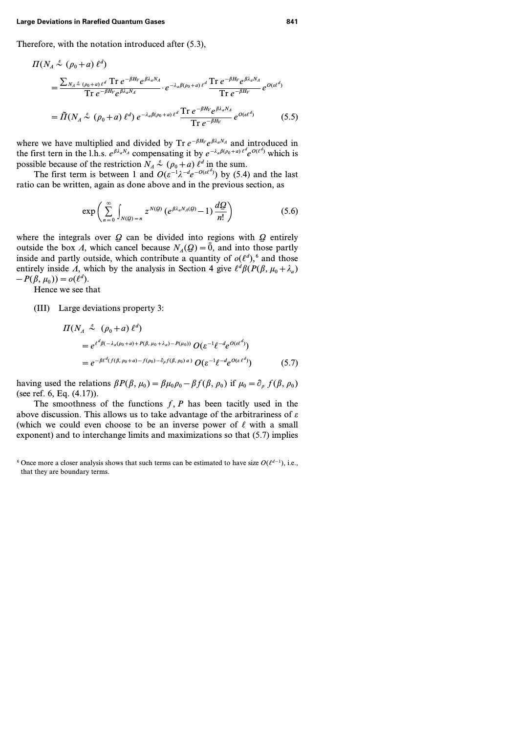Therefore, with the notation introduced after (5.3),

$$
\Pi(N_A \stackrel{\epsilon}{\sim} (\rho_0 + a) \ell^d)
$$
\n
$$
= \frac{\sum_{N_A} \stackrel{\epsilon}{\sim} (\rho_0 + a) \ell^d}{\text{Tr } e^{-\beta H_V} e^{\beta \lambda_a N_A}} \cdot e^{-\lambda_a \beta (\rho_0 + a) \ell^d} \frac{\text{Tr } e^{-\beta H_V} e^{\beta \lambda_a N_A}}{\text{Tr } e^{-\beta H_V}} e^{O(\epsilon \ell^d)}
$$
\n
$$
= \tilde{\Pi}(N_A \stackrel{\epsilon}{\sim} (\rho_0 + a) \ell^d) e^{-\lambda_a \beta (\rho_0 + a) \ell^d} \frac{\text{Tr } e^{-\beta H_V} e^{\beta \lambda_a N_A}}{\text{Tr } e^{-\beta H_V}} e^{O(\epsilon \ell^d)} \tag{5.5}
$$

where we have multiplied and divided by Tr  $e^{-\beta H_V}e^{\beta \lambda_a N_A}$  and introduced in the first tern in the l.h.s.  $e^{\beta \lambda_a N_A}$  compensating it by  $e^{-\lambda_a \beta(\rho_0 + a) \ell_a^d} e^{O(\ell^d)}$  which is possible because of the restriction  $N_A \overset{\varepsilon}{\sim} (\rho_0 + a) \ell^d$  in the sum.

The first term is between 1 and  $O(\varepsilon^{-1} \lambda^{-d} e^{-O(\varepsilon \ell^d)})$  by (5.4) and the last ratio can be written, again as done above and in the previous section, as

$$
\exp\left(\sum_{n=0}^{\infty}\int_{N(Q)=n}z^{N(Q)}\left(e^{\beta\lambda_aN_A(Q)}-1\right)\frac{d\Omega}{n!}\right)\tag{5.6}
$$

where the integrals over  $\Omega$  can be divided into regions with  $\Omega$  entirely outside the box *A* which cancel because *N*  $(O) - \overline{0}$  and into those partly outside the box *L*, which cancel because  $N_A(Q) = \overline{0}$ , and into those partly inside and partly outside which contribute a quantity of  $a(\ell^d)$  <sup>6</sup> and those inside and partly outside, which contribute a quantity of  $o(\ell^d)$ , and those entirely inside  $\Lambda$ , which by the analysis in Section 4 give  $\ell^d \beta(P(\beta, \mu_0 + \lambda_a))$  $-P(\beta, \mu_0) = o(\ell^d).$ 

Hence we see that

(III) Large deviations property 3:

$$
\Pi(N_A \stackrel{\ell}{\sim} (\rho_0 + a) \ell^d)
$$
  
=  $e^{\ell^d \beta(-\lambda_a(\rho_0 + a) + P(\beta, \mu_0 + \lambda_a) - P(\mu_0))} O(\varepsilon^{-1} \ell^{-d} e^{O(\varepsilon \ell^d)})$   
=  $e^{-\beta \ell^d (f(\beta, \rho_0 + a) - f(\rho_0) - \partial_\rho f(\beta, \rho_0) a)} O(\varepsilon^{-1} \ell^{-d} e^{O(\varepsilon \ell^d)})$  (5.7)

having used the relations  $\beta P(\beta, \mu_0) = \beta \mu_0 \rho_0 - \beta f(\beta, \rho_0)$  if  $\mu_0 = \partial_{\rho} f(\beta, \rho_0)$ (see ref. 6, Eq. (4.17)).

The smoothness of the functions *f, P* has been tacitly used in the above discussion. This allows us to take advantage of the arbitrariness of *e* (which we could even choose to be an inverse power of  $\ell$  with a small exponent) and to interchange limits and maximizations so that (5.7) implies

<sup>&</sup>lt;sup>6</sup> Once more a closer analysis shows that such terms can be estimated to have size  $O(\ell^{d-1})$ , i.e., that they are boundary terms.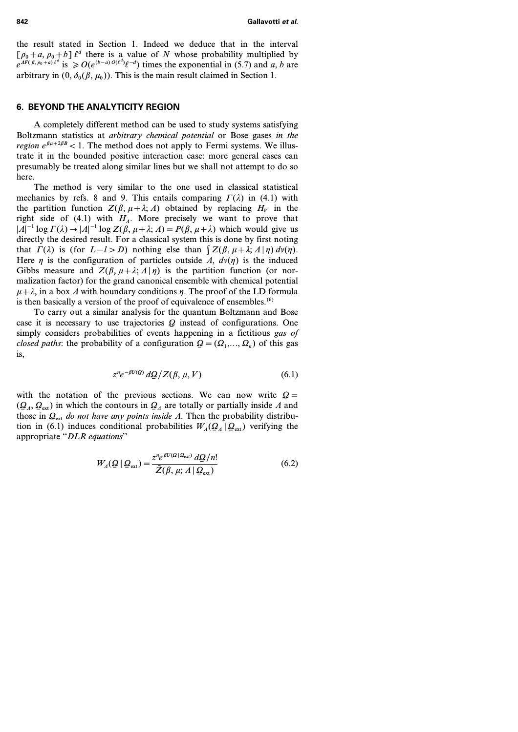the result stated in Section 1. Indeed we deduce that in the interval  $[\rho_0 + a, \rho_0 + b] \ell^d$  there is a value of *N* whose probability multiplied by  $e^{AF(\beta, \rho_0 + a)\ell^d}$  is  $\geqslant O(e^{(b-a)O(\ell^d)}\ell^{-d})$  times the exponential in (5.7) and *a, b* are arbitrary in  $(0, \delta_0(\beta, \mu_0))$ . This is the main result claimed in Section 1.

## **6. BEYOND THE ANALYTICITY REGION**

A completely different method can be used to study systems satisfying Boltzmann statistics at *arbitrary chemical potential* or Bose gases *in the region*  $e^{\beta \mu + 2\beta B}$  < 1. The method does not apply to Fermi systems. We illustrate it in the bounded positive interaction case: more general cases can presumably be treated along similar lines but we shall not attempt to do so here.

The method is very similar to the one used in classical statistical mechanics by refs. 8 and 9. This entails comparing  $\Gamma(\lambda)$  in (4.1) with the partition function  $Z(\beta, \mu + \lambda; \Lambda)$  obtained by replacing  $H_V$  in the right side of  $(4.1)$  with  $H<sub>A</sub>$ . More precisely we want to prove that  $|A|^{-1}$  log  $\Gamma(\lambda) \rightarrow |A|^{-1}$  log  $Z(\beta, \mu + \lambda; A) = P(\beta, \mu + \lambda)$  which would give us directly the desired result. For a classical system this is done by first noting that  $\Gamma(\lambda)$  is (for  $L - l > D$ ) nothing else than  $\Gamma(Z(\beta, \mu + \lambda; \Lambda | \eta) d\nu(\eta)$ . Here *n* is the configuration of particles outside  $\Lambda$ ,  $d\nu(\eta)$  is the induced Gibbs measure and  $Z(\beta, \mu + \lambda; \Lambda | \eta)$  is the partition function (or normalization factor) for the grand canonical ensemble with chemical potential  $\mu + \lambda$ , in a box  $\Lambda$  with boundary conditions  $\eta$ . The proof of the LD formula is then basically a version of the proof of equivalence of ensembles.<sup>(6)</sup>

To carry out a similar analysis for the quantum Boltzmann and Bose case it is necessary to use trajectories  $\Omega$  instead of configurations. One<br>simply considers probabilities of events happening in a fictitious gas of simply considers probabilities of events happening in a fictitious *gas of closed paths*: the probability of a configuration  $Q = (Q_1, \ldots, Q_n)$  of this gas is is,

$$
z^n e^{-\beta U(\mathcal{Q})} \, d\mathcal{Q} / Z(\beta, \mu, V) \tag{6.1}
$$

with the notation of the previous sections. We can now write  $Q =$ <br> $(Q, Q)$  in which the contours in Q are totally or partially inside 4 and  $(Q_A, Q_{\text{ext}})$  in which the contours in  $Q_A$  are totally or partially inside *L* and<br>those in *Q* do not have any points inside *L* Then the probability distributhose in  $\Omega_{\text{ext}}$  *do not have any points inside A*. Then the probability distribu-<br>tion in (6.1) induces conditional probabilities  $W(O \cup O)$  verifying the tion in (6.1) induces conditional probabilities  $W_A(\mathcal{Q}_A | \mathcal{Q}_{ext})$  verifying the appropriate "*DI R equations*" appropriate ''*DLR equations*''

$$
W_{\Lambda}(\mathcal{Q} \mid \mathcal{Q}_{\text{ext}}) = \frac{z^n e^{\beta U(\mathcal{Q} \mid \mathcal{Q}_{\text{ext}})} d\mathcal{Q}/n!}{\tilde{Z}(\beta, \mu; \Lambda \mid \mathcal{Q}_{\text{ext}})}\tag{6.2}
$$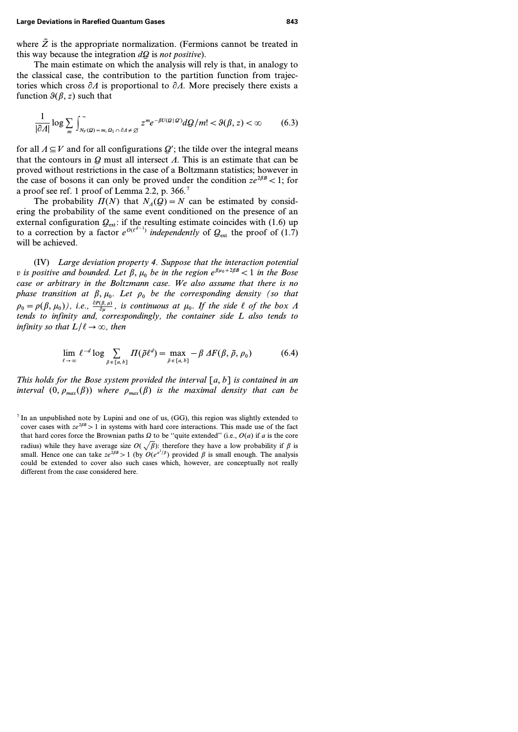where  $\tilde{Z}$  is the appropriate normalization. (Fermions cannot be treated in this way because the integration  $d\Omega$  is *not positive*).<br>The main estimate on which the analysis will the

The main estimate on which the analysis will rely is that, in analogy to the classical case, the contribution to the partition function from trajectories which cross  $\partial A$  is proportional to  $\partial A$ . More precisely there exists a function  $\theta(\beta, z)$  such that

$$
\frac{1}{|\partial A|} \log \sum_{m} \int_{N_V(\mathcal{Q}) = m, \mathcal{Q}_1 \cap \partial A \neq \emptyset}^{N} z^m e^{-\beta U(\mathcal{Q} \setminus \mathcal{Q})} d\mathcal{Q}/m! < \vartheta(\beta, z) < \infty \tag{6.3}
$$

for all  $\Lambda \subseteq V$  and for all configurations  $\Omega'$ ; the tilde over the integral means that the contours in O must all intersect A. This is an estimate that can be that the contours in  $\Omega$  must all intersect  $\Lambda$ . This is an estimate that can be proved without restrictions in the case of a Boltzmann statistics; however in proved without restrictions in the case of a Boltzmann statistics; however in the case of bosons it can only be proved under the condition  $ze^{2\beta B}$  < 1; for a proof see ref. 1 proof of Lemma 2.2, p. 366.<sup>7</sup>

The probability  $\Pi(N)$  that  $N_A(\Omega) = N$  can be estimated by consid-<br>the probability of the same event conditioned on the presence of an ering the probability of the same event conditioned on the presence of an external configuration  $Q_{ext}$ : if the resulting estimate coincides with (1.6) up<br>to a correction by a factor  $e^{O(\ell^{d-1})}$  *independently* of  $Q_{ext}$  the proof of (1.7)<br>will be achieved will be achieved.

(IV) *Large deviation property 4. Suppose that the interaction potential v* is positive and bounded. Let  $\beta$ ,  $\mu_0$  be in the region  $e^{\beta \mu_0 + 2\beta B} < 1$  in the Bose *case or arbitrary in the Boltzmann case. We also assume that there is no phase transition at*  $\beta$ ,  $\mu_0$ . Let  $\rho_0$  be the corresponding density (so that  $\rho_0 = \rho(\beta, \mu_0)$ , i.e.,  $\frac{\partial P(\beta, \mu)}{\partial \mu}$ , is continuous at  $\mu_0$ . If the side  $\ell$  of the box  $\Lambda$ *tends to infinity and, correspondingly, the container side L also tends to infinity so that*  $L/\ell \rightarrow \infty$ *, then* 

$$
\lim_{\ell \to \infty} \ell^{-d} \log \sum_{\tilde{\rho} \in [a, b]} \Pi(\tilde{\rho} \ell^{d}) = \max_{\tilde{\rho} \in [a, b]} -\beta \Delta F(\beta, \tilde{\rho}, \rho_{0}) \tag{6.4}
$$

*This holds for the Bose system provided the interval [a, b] is contained in an interval*  $(0, \rho_{max}(\beta))$  *where*  $\rho_{max}(\beta)$  *is the maximal density that can be* 

<sup>7</sup> In an unpublished note by Lupini and one of us, (GG), this region was slightly extended to cover cases with  $ze^{2\beta B} > 1$  in systems with hard core interactions. This made use of the fact that hard cores force the Brownian paths  $\Omega$  to be "quite extended" (i.e.,  $O(a)$  if *a* is the core radius) while they have average size  $O(\sqrt{\beta})$ : therefore they have a low probability if  $\beta$  is small. Hence one can take  $ze^{2\beta B} > 1$  (by  $O(e^{a^2/\beta})$  provided  $\beta$  is small enough. The analysis could be extended to cover also such cases which, however, are conceptually not really different from the case considered here.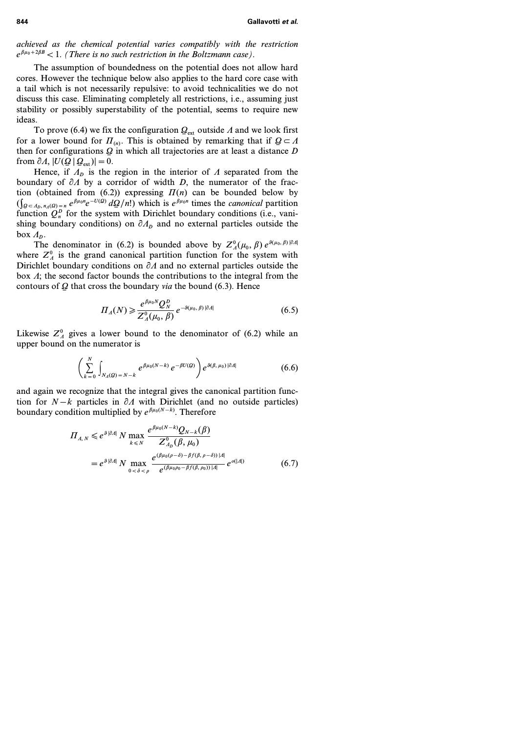*achieved as the chemical potential varies compatibly with the restriction*  $e^{\beta\mu_0+2\beta B}$  < 1. (There is no such restriction in the Boltzmann case).

The assumption of boundedness on the potential does not allow hard cores. However the technique below also applies to the hard core case with a tail which is not necessarily repulsive: to avoid technicalities we do not discuss this case. Eliminating completely all restrictions, i.e., assuming just stability or possibly superstability of the potential, seems to require new ideas.

To prove (6.4) we fix the configuration  $Q_{\text{ext}}$  outside *L* and we look first lower bound for *H*. This is obtained by remarking that if  $Q \subset A$ for a lower bound for  $\Pi_{(n)}$ . This is obtained by remarking that if  $\Omega \subset \Lambda$ <br>then for configurations O in which all trajectories are at least a distance D then for configurations  $\Omega$  in which all trajectories are at least a distance *D*<br>from  $\partial A |U(O|Q)| = 0$ from  $\partial A$ ,  $|U(\Omega)|Q_{ext}||=0$ .<br>Hence if  $\Lambda$  is the

Hence, if  $\Lambda$ <sup>D</sup> is the region in the interior of  $\Lambda$  separated from the boundary of  $\partial A$  by a corridor of width *D*, the numerator of the fraction (obtained from  $(6.2)$ ) expressing  $\Pi(n)$  can be bounded below by  $(\int_{Q \subset A_D, n_A(Q) = n} e^{\beta \mu_0 n} e^{-U(Q)} d\Omega/n!)$  which is  $e^{\beta \mu_0 n}$  times the *canonical* partition  $O^D$  for the system with Dirichlet boundary conditions (i.e. vanifunction  $Q_n^D$  for the system with Dirichlet boundary conditions (i.e., vanishing boundary conditions) on  $\partial A$ <sup>*n*</sup> and no external particles outside the box  $A_D$ .

The denominator in (6.2) is bounded above by  $Z_A^0(\mu_0, \beta) e^{9(\mu_0, \beta) |\partial A|}$ where  $Z_A^0$  is the grand canonical partition function for the system with Dirichlet boundary conditions on  $\partial A$  and no external particles outside the box *A*; the second factor bounds the contributions to the integral from the contours of  $\Omega$  that cross the boundary *via* the bound (6.3). Hence

$$
\Pi_A(N) \geq \frac{e^{\beta \mu_0 N} Q_N^D}{Z_A^0(\mu_0, \beta)} e^{-\theta(\mu_0, \beta) |\partial A|}
$$
\n(6.5)

Likewise  $Z_A^0$  gives a lower bound to the denominator of (6.2) while an upper bound on the numerator is

$$
\left(\sum_{k=0}^{N} \int_{N_{A}(\mathcal{Q})=N-k} e^{\beta \mu_{0}(N-k)} e^{-\beta U(\mathcal{Q})} \right) e^{3(\beta, \mu_{0}) |\partial A|}
$$
(6.6)

and again we recognize that the integral gives the canonical partition function for *N*−k particles in  $\partial A$  with Dirichlet (and no outside particles) boundary condition multiplied by  $e^{\beta \mu_0(N-k)}$ . Therefore

$$
\Pi_{A,N} \leq e^{\theta |\partial A|} N \max_{k \leq N} \frac{e^{\beta \mu_0 (N-k)} Q_{N-k}(\beta)}{Z_{A_D}^0(\beta, \mu_0)}
$$
  
=  $e^{\theta |\partial A|} N \max_{0 < \delta < \rho} \frac{e^{(\beta \mu_0 (\rho - \delta) - \beta f(\beta, \rho - \delta)) |A|}}{e^{(\beta \mu_0 \rho_0 - \beta f(\beta, \rho_0)) |A|}} e^{o(|A|)}$  (6.7)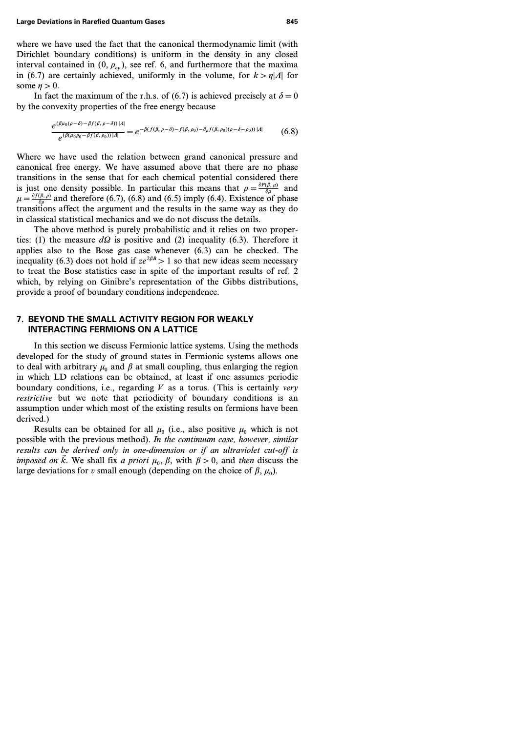where we have used the fact that the canonical thermodynamic limit (with Dirichlet boundary conditions) is uniform in the density in any closed interval contained in  $(0, \rho_{cp})$ , see ref. 6, and furthermore that the maxima in (6.7) are certainly achieved, uniformly in the volume, for  $k > \eta |A|$  for some  $n > 0$ .

In fact the maximum of the r.h.s. of (6.7) is achieved precisely at  $\delta = 0$ by the convexity properties of the free energy because

$$
\frac{e^{(\beta\mu_0(\rho-\delta)-\beta f(\beta,\,\rho-\delta))|\mathcal{A}|}}{e^{(\beta(\mu_0\rho_0-\beta f(\beta,\,\rho_0))|\mathcal{A}|}}=e^{-\beta(f(\beta,\,\rho-\delta)-f(\beta,\,\rho_0)-\partial_\rho f(\beta,\,\rho_0)(\rho-\delta-\rho_0))|\mathcal{A}|}\tag{6.8}
$$

Where we have used the relation between grand canonical pressure and canonical free energy. We have assumed above that there are no phase transitions in the sense that for each chemical potential considered there is just one density possible. In particular this means that  $\rho = \frac{\partial P(\beta, \mu)}{\partial \mu}$  and  $\mu = \frac{\partial f(\beta, \rho)}{\partial \rho}$  and therefore (6.7), (6.8) and (6.5) imply (6.4). Existence of phase transitions affect the argument and the results in the same way as they do in classical statistical mechanics and we do not discuss the details.

The above method is purely probabilistic and it relies on two properties: (1) the measure  $d\Omega$  is positive and (2) inequality (6.3). Therefore it applies also to the Bose gas case whenever (6.3) can be checked. The inequality (6.3) does not hold if  $ze^{2\beta B} > 1$  so that new ideas seem necessary to treat the Bose statistics case in spite of the important results of ref. 2 which, by relying on Ginibre's representation of the Gibbs distributions, provide a proof of boundary conditions independence.

## **7. BEYOND THE SMALL ACTIVITY REGION FOR WEAKLY INTERACTING FERMIONS ON A LATTICE**

In this section we discuss Fermionic lattice systems. Using the methods developed for the study of ground states in Fermionic systems allows one to deal with arbitrary  $\mu_0$  and  $\beta$  at small coupling, thus enlarging the region in which LD relations can be obtained, at least if one assumes periodic boundary conditions, i.e., regarding *V* as a torus. (This is certainly *very restrictive* but we note that periodicity of boundary conditions is an assumption under which most of the existing results on fermions have been derived.)

Results can be obtained for all  $\mu_0$  (i.e., also positive  $\mu_0$  which is not possible with the previous method). *In the continuum case, however, similar results can be derived only in one-dimension or if an ultraviolet cut-off is imposed on*  $\vec{k}$ . We shall fix *a priori*  $\mu_0$ ,  $\beta$ , with  $\beta > 0$ , and *then* discuss the large deviations for *v* small enough (depending on the choice of  $\beta$ ,  $\mu_0$ ).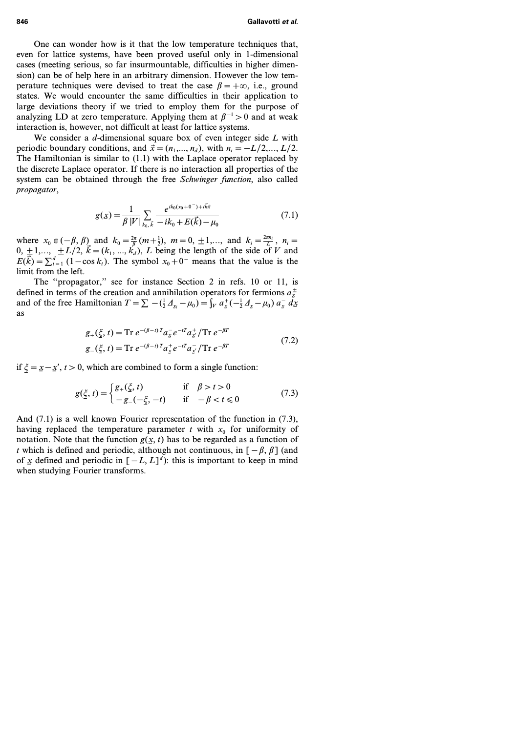One can wonder how is it that the low temperature techniques that, even for lattice systems, have been proved useful only in *1*-dimensional cases (meeting serious, so far insurmountable, difficulties in higher dimension) can be of help here in an arbitrary dimension. However the low temperature techniques were devised to treat the case  $\beta = +\infty$ , i.e., ground states. We would encounter the same difficulties in their application to large deviations theory if we tried to employ them for the purpose of analyzing LD at zero temperature. Applying them at  $\beta^{-1} > 0$  and at weak interaction is, however, not difficult at least for lattice systems.

We consider a *d*-dimensional square box of even integer side *L* with periodic boundary conditions, and  $\vec{x} = (n_1, ..., n_d)$ , with  $n_i = -L/2, ..., L/2$ . The Hamiltonian is similar to (1.1) with the Laplace operator replaced by the discrete Laplace operator. If there is no interaction all properties of the system can be obtained through the free *Schwinger function*, also called *propagator*,

$$
g(\underline{x}) = \frac{1}{\beta} \sum_{k_0, \vec{k}} \frac{e^{ik_0(x_0 + 0^-) + i\vec{k}\vec{x}}}{-ik_0 + E(\vec{k}) - \mu_0}
$$
(7.1)

where  $x_0 \in (-\beta, \beta)$  and  $k_0 = \frac{2\pi}{\beta} (m + \frac{1}{2})$ ,  $m = 0, \pm 1,...$ , and  $k_i = \frac{2\pi n_i}{L}$ ,  $n_i =$  $0, \pm 1, \ldots, \pm L/2, \vec{k} = (k_1, \ldots, k_d)$ , *L* being the length of the side of *V* and  $E(\vec{k}) = \sum_{i=1}^{d} (1 - \cos k_i)$ . The symbol  $x_0 + 0$ <sup>–</sup> means that the value is the limit from the left.

The "propagator," see for instance Section 2 in refs. 10 or 11, is defined in terms of the creation and annihilation operators for fermions  $a_x^{\pm}$ and of the free Hamiltonian  $T = \sum -(\frac{1}{2}A_{x_i} - \mu_0) = \int_V a_x^+ (-\frac{1}{2}A_x - \mu_0) a_x^- d\mu_x$ <br>as

$$
g_{+}(\xi, t) = \text{Tr } e^{-(\beta - t)T} a_{\xi}^{-} e^{-tT} a_{\xi}^{+} / \text{Tr } e^{-\beta T}
$$
  
\n
$$
g_{-}(\xi, t) = \text{Tr } e^{-(\beta - t)T} a_{\xi}^{+} e^{-tT} a_{\xi}^{-} / \text{Tr } e^{-\beta T}
$$
\n(7.2)

if  $\frac{\zeta}{2} = x - x'$ ,  $t > 0$ , which are combined to form a single function: *¯*

$$
g(\xi, t) = \begin{cases} g_{+}(\xi, t) & \text{if } \beta > t > 0 \\ -g_{-}(-\xi, -t) & \text{if } -\beta < t \le 0 \end{cases}
$$
(7.3)

And (7.1) is a well known Fourier representation of the function in (7.3), having replaced the temperature parameter  $t$  with  $x<sub>0</sub>$  for uniformity of notation. Note that the function  $g(x, t)$  has to be regarded as a function of the vehicle is defined and periodic although not continuous in  $\int_{a}^{b} g(x) dx$ *t* which is defined and periodic, although not continuous, in  $[-\beta, \beta]$  (and of *x* defined and periodic in  $[-L, L]^d$ : this is important to keep in mind<br>when studying Fourier transforms when studying Fourier transforms.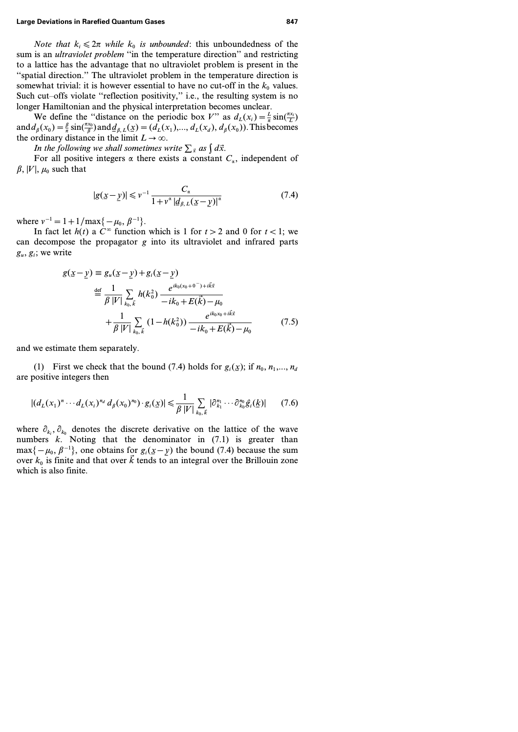*Note that*  $k_i \leq 2\pi$  *while*  $k_0$  *is unbounded*: this unboundedness of the sum is an *ultraviolet problem* "in the temperature direction" and restricting to a lattice has the advantage that no ultraviolet problem is present in the ''spatial direction.'' The ultraviolet problem in the temperature direction is somewhat trivial: it is however essential to have no cut-off in the  $k<sub>0</sub>$  values. Such cut-offs violate "reflection positivity," i.e., the resulting system is no longer Hamiltonian and the physical interpretation becomes unclear.

We define the "distance on the periodic box *V*" as  $d_L(x_i) = \frac{L}{\pi} \sin(\frac{\pi x_i}{L})$ and  $d_{\beta}(x_0) = \frac{\beta}{\pi} \sin(\frac{\pi x_0}{\beta})$  and  $\underline{d}_{\beta, L}(\underline{x}) = (d_L(x_1), ..., d_L(x_d), d_{\beta}(x_0))$ . This becomes the ordinary distance in the limit  $L \to \infty$ .

*In the following we shall sometimes write*  $\sum_{\vec{x}}$  *as*  $\int d\vec{x}$ *.* 

For all positive integers  $\alpha$  there exists a constant  $C_{\alpha}$ , independent of  $\beta$ *, |V|,*  $\mu_0$  such that

$$
|g(\underline{x}-\underline{y})| \leq v^{-1} \frac{C_{\alpha}}{1+v^{\alpha} |d_{\beta, L}(\underline{x}-\underline{y})|^{\alpha}}
$$
(7.4)

where  $v^{-1} = 1 + 1/\max\{-\mu_0, \beta^{-1}\}.$ 

In fact let  $h(t)$  a  $C^{\infty}$  function which is 1 for  $t > 2$  and 0 for  $t < 1$ ; we can decompose the propagator *g* into its ultraviolet and infrared parts  $g_u, g_i$ ; we write

$$
g(\underline{x} - \underline{y}) \equiv g_u(\underline{x} - \underline{y}) + g_i(\underline{x} - \underline{y})
$$
  
\n
$$
\stackrel{\text{def}}{=} \frac{1}{\beta |V|} \sum_{k_0, \bar{k}} h(k_0^2) \frac{e^{ik_0(x_0 + 0^-) + i\bar{k}\bar{x}}}{-ik_0 + E(\vec{k}) - \mu_0}
$$
  
\n
$$
+ \frac{1}{\beta |V|} \sum_{k_0, \bar{k}} (1 - h(k_0^2)) \frac{e^{ik_0x_0 + i\bar{k}\bar{x}}}{-ik_0 + E(\vec{k}) - \mu_0}
$$
 (7.5)

and we estimate them separately.

(1) First we check that the bound (7.4) holds for  $g_i(\underline{x})$ ; if  $n_0, n_1, \dots, n_d$ are positive integers then

$$
|(d_L(x_1)^n \cdots d_L(x_i)^{n_d} d_{\beta}(x_0)^{n_0}) \cdot g_i(\underline{x})| \leq \frac{1}{\beta |V|} \sum_{k_0, \vec{k}} |\partial_{k_1}^{n_1} \cdots \partial_{k_0}^{n_0} \hat{g}_i(\underline{k})| \qquad (7.6)
$$

where  $\partial_{k_i}$ ,  $\partial_{k_0}$  denotes the discrete derivative on the lattice of the wave numbers *k*. Noting that the denominator in (7.1) is greater than  $\max\{-\mu_0, \beta^{-1}\}$ , one obtains for  $g_i(\underline{x}-\underline{y})$  the bound (7.4) because the sum<br>over *k* is finite and that over  $\vec{k}$  tends to an integral over the Brillouin zone over  $k_0$  is finite and that over  $\vec{k}$  tends to an integral over the Brillouin zone which is also finite.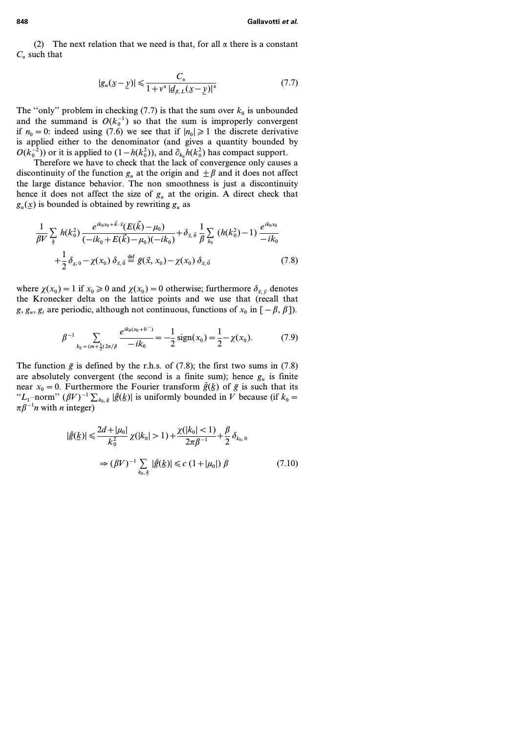(2) The next relation that we need is that, for all  $\alpha$  there is a constant *C<sup>a</sup>* such that

$$
|g_u(\underline{x}-\underline{y})| \leqslant \frac{C_{\alpha}}{1+\nu^{\alpha} |d_{\beta,L}(\underline{x}-\underline{y})|^{\alpha}} \tag{7.7}
$$

The "only" problem in checking  $(7.7)$  is that the sum over  $k_0$  is unbounded and the summand is  $O(k_0^{-1})$  so that the sum is improperly convergent if  $n_0 = 0$ : indeed using (7.6) we see that if  $|n_0| \ge 1$  the discrete derivative is applied either to the denominator (and gives a quantity bounded by  $O(k_0^{-2})$ ) or it is applied to  $(1 - h(k_0^2))$ , and  $\partial_{k_0}h(k_0^2)$  has compact support.

Therefore we have to check that the lack of convergence only causes a discontinuity of the function  $g<sub>u</sub>$  at the origin and  $\pm \beta$  and it does not affect the large distance behavior. The non smoothness is just a discontinuity hence it does not affect the size of *g<sup>u</sup>* at the origin. A direct check that  $g_u(x)$  is bounded is obtained by rewriting  $g_u$  as

$$
\frac{1}{\beta V} \sum_{\underline{k}} h(k_0^2) \frac{e^{ik_0 x_0 + \vec{k} \cdot \vec{x}} (E(\vec{k}) - \mu_0)}{(-ik_0 + E(\vec{k}) - \mu_0)(-ik_0)} + \delta_{\vec{x}, \vec{0}} \frac{1}{\beta} \sum_{k_0} (h(k_0^2) - 1) \frac{e^{ik_0 x_0}}{-ik_0} + \frac{1}{2} \delta_{x,0} - \chi(x_0) \delta_{\vec{x}, \vec{0}} \stackrel{\text{def}}{=} \bar{g}(\vec{x}, x_0) - \chi(x_0) \delta_{\vec{x}, \vec{0}} \tag{7.8}
$$

where  $\chi(x_0) = 1$  if  $x_0 \ge 0$  and  $\chi(x_0) = 0$  otherwise; furthermore  $\delta_{\vec{x}}$   $\vec{y}$  denotes the Kronecker delta on the lattice points and we use that (recall that *g*,  $g<sub>u</sub>$ ,  $g<sub>i</sub>$  are periodic, although not continuous, functions of  $x<sub>0</sub>$  in  $[-\beta, \beta]$ ).

$$
\beta^{-1} \sum_{k_0 = (m + \frac{1}{2}) 2\pi/\beta} \frac{e^{ik_0(x_0 + 0^{-})}}{-ik_0} = -\frac{1}{2} \text{sign}(x_0) = \frac{1}{2} - \chi(x_0). \tag{7.9}
$$

The function  $\bar{g}$  is defined by the r.h.s. of (7.8); the first two sums in (7.8) are absolutely convergent (the second is a finite sum); hence  $g<sub>u</sub>$  is finite near  $x_0 = 0$ . Furthermore the Fourier transform  $\hat{g}(\underline{k})$  of  $\bar{g}$  is such that its  $\pi R^{-1}$ **n** with *n* integer)<br>  $\pi R^{-1}$ **n** with *n* integer)  $\pi \beta^{-1} n$  with *n* integer)

$$
|\hat{g}(\underline{k})| \le \frac{2d + |\mu_0|}{k_0^2} \chi(|k_0| > 1) + \frac{\chi(|k_0| < 1)}{2\pi \beta^{-1}} + \frac{\beta}{2} \delta_{k_0, 0}
$$
  

$$
\Rightarrow (\beta V)^{-1} \sum_{k_0, \underline{k}} |\hat{g}(\underline{k})| \le c (1 + |\mu_0|) \beta \qquad (7.10)
$$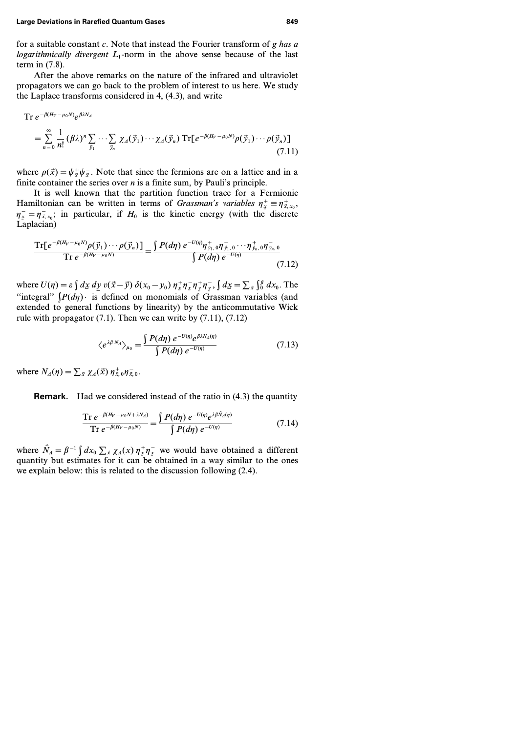for a suitable constant *c*. Note that instead the Fourier transform of *g has a logarithmically divergent L<sup>1</sup>* -norm in the above sense because of the last term in (7.8).

After the above remarks on the nature of the infrared and ultraviolet propagators we can go back to the problem of interest to us here. We study the Laplace transforms considered in 4, (4.3), and write

$$
\operatorname{Tr} e^{-\beta (H_V - \mu_0 N)} e^{\beta \lambda N_A}
$$
\n
$$
= \sum_{n=0}^{\infty} \frac{1}{n!} (\beta \lambda)^n \sum_{\vec{y}_1} \cdots \sum_{\vec{y}_n} \chi_A(\vec{y}_1) \cdots \chi_A(\vec{y}_n) \operatorname{Tr} [e^{-\beta (H_V - \mu_0 N)} \rho(\vec{y}_1) \cdots \rho(\vec{y}_n)] \tag{7.11}
$$

where  $\rho(\vec{x}) = \psi_{\vec{x}}^+ \psi_{\vec{x}}^-$ . Note that since the fermions are on a lattice and in a finite container the series over *n* is a finite sum, by Pauli's principle.

It is well known that the partition function trace for a Fermionic Hamiltonian can be written in terms of *Grassman's variables*  $\eta_x^+ \equiv \eta_{\vec{x},x_0}^+$ ,  $\eta_{\overline{x}} = \eta_{\overline{x}, x_0}^-$ ; in particular, if  $H_0$  is the kinetic energy (with the discrete *¯* Laplacian)

$$
\frac{\mathrm{Tr}\left[e^{-\beta(H_V-\mu_0 N)}\rho(\vec{y}_1)\cdots\rho(\vec{y}_n)\right]}{\mathrm{Tr}\,e^{-\beta(H_V-\mu_0 N)}}=\frac{\int P(d\eta)\,e^{-U(\eta)}\eta_{\vec{y}_1,0}^+\eta_{\vec{y}_1,0}^- \cdots\eta_{\vec{y}_n,0}^+\eta_{\vec{y}_n,0}^-}{\int P(d\eta)\,e^{-U(\eta)}}\tag{7.12}
$$

where  $U(\eta) = \varepsilon \int dx dy v(\vec{x} - \vec{y}) \delta(x_0 - y_0) \eta_x^* \eta_x^- \eta_y^+ \eta_y^-$ ,  $\int dx = \sum_{\vec{x}} \int_{\theta}^{\theta} dx_0$ . The<br>"integral"  $[P(dx)]$ , is defined an monomials of Grassman variables (and  $\int P(d\eta) \cdot$  is defined on monomials of Grassman variables (and  $\int P(d\eta) \cdot$  is defined on monomials of Grassman variables (and extended to general functions by linearity) by the anticommutative Wick rule with propagator  $(7.1)$ . Then we can write by  $(7.11)$ ,  $(7.12)$ 

$$
\left\langle e^{\lambda\beta N_A} \right\rangle_{\mu_0} = \frac{\int P(d\eta) \, e^{-U(\eta)} e^{\beta\lambda N_A(\eta)}}{\int P(d\eta) \, e^{-U(\eta)}} \tag{7.13}
$$

where  $N_A(\eta) = \sum_{\vec{x}} \chi_A(\vec{x}) \eta_{\vec{x},0}^+ \eta_{\vec{x},0}^-$ .

**Remark.** Had we considered instead of the ratio in (4.3) the quantity

$$
\frac{\operatorname{Tr} e^{-\beta(H_V - \mu_0 N + \lambda N_A)}}{\operatorname{Tr} e^{-\beta(H_V - \mu_0 N)}} = \frac{\int P(d\eta) \, e^{-U(\eta)} e^{\lambda \beta \hat{N}_A(\eta)}}{\int P(d\eta) \, e^{-U(\eta)}} \tag{7.14}
$$

where  $\hat{N}_A = \beta^{-1} \int dx_0 \sum_{\vec{x}} \chi_A(x) \eta_{\vec{x}}^+ \eta_{\vec{x}}^-$  we would have obtained a different quantity but estimates for it can be obtained in a way similar to the ones we explain below: this is related to the discussion following (2.4).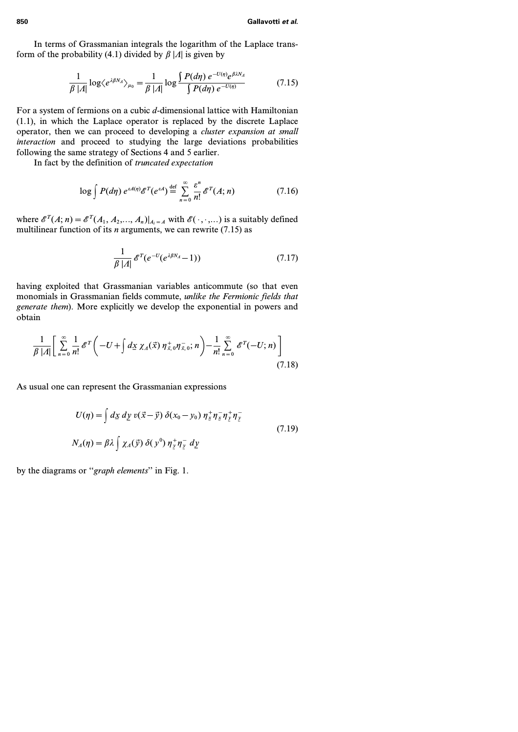In terms of Grassmanian integrals the logarithm of the Laplace transform of the probability (4.1) divided by  $\beta$  | $\Lambda$ | is given by

$$
\frac{1}{\beta |A|} \log \langle e^{\lambda \beta N_A} \rangle_{\mu_0} = \frac{1}{\beta |A|} \log \frac{\int P(d\eta) e^{-U(\eta)} e^{\beta \lambda N_A}}{\int P(d\eta) e^{-U(\eta)}} \tag{7.15}
$$

For a system of fermions on a cubic *d*-dimensional lattice with Hamiltonian (1.1), in which the Laplace operator is replaced by the discrete Laplace operator, then we can proceed to developing a *cluster expansion at small interaction* and proceed to studying the large deviations probabilities following the same strategy of Sections 4 and 5 earlier.

In fact by the definition of *truncated expectation*

$$
\log \int P(d\eta) \, e^{\varepsilon A(\eta)} \mathcal{E}^T(e^{\varepsilon A}) \stackrel{\text{def}}{=} \sum_{n=0}^{\infty} \frac{\varepsilon^n}{n!} \mathcal{E}^T(A; n) \tag{7.16}
$$

where  $\mathscr{E}^{T}(A; n) = \mathscr{E}^{T}(A_1, A_2, ..., A_n)|_{A_i = A}$  with  $\mathscr{E}(\cdot, \cdot, ...)$  is a suitably defined multilinear function of its *n* arguments, we can rewrite (7.15) as

$$
\frac{1}{\beta} \left| A \right| \mathscr{E}^T(e^{-U}(e^{\lambda \beta N_A} - 1)) \tag{7.17}
$$

having exploited that Grassmanian variables anticommute (so that even monomials in Grassmanian fields commute, *unlike the Fermionic fields that generate them*). More explicitly we develop the exponential in powers and obtain

$$
\frac{1}{\beta |\mathcal{A}|} \bigg[ \sum_{n=0}^{\infty} \frac{1}{n!} \mathcal{E}^T \bigg( -U + \int d\underline{x} \, \chi_{\mathcal{A}} (\vec{x}) \, \eta_{\vec{x},0}^+ \eta_{\vec{x},0}^-; n \bigg) - \frac{1}{n!} \sum_{n=0}^{\infty} \mathcal{E}^T (-U; n) \bigg]
$$
\n(7.18)

As usual one can represent the Grassmanian expressions

$$
U(\eta) = \int dx \, dy \, v(\vec{x} - \vec{y}) \, \delta(x_0 - y_0) \, \eta_x^+ \eta_y^- \eta_y^+ \eta_y^-
$$
  

$$
N_A(\eta) = \beta \lambda \int \chi_A(\vec{y}) \, \delta(y^0) \, \eta_y^+ \eta_y^- \, dy \tag{7.19}
$$

by the diagrams or ''*graph elements*'' in Fig. 1.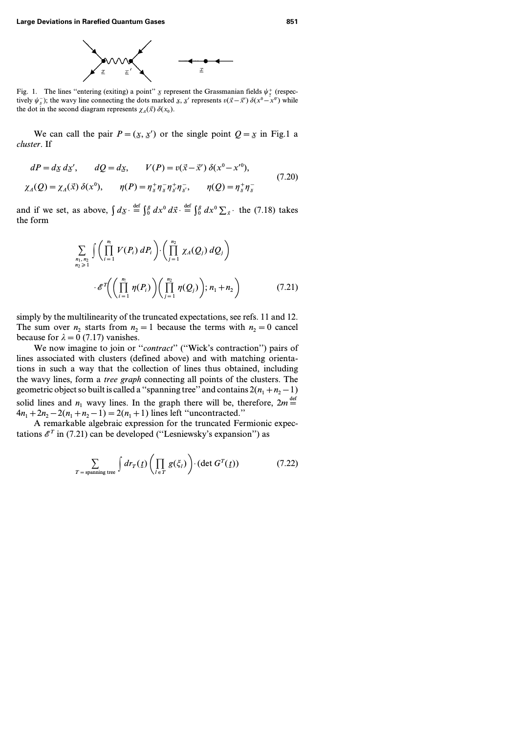

Fig. 1. The lines "entering (exiting) a point" *x* represent the Grassmanian fields  $\psi_x^+$  (respectively). tively  $\psi_{\vec{x}}^-$ ); the wavy line connecting the dots marked  $\underline{x}, \underline{x}'$  represents  $v(\vec{x} - \vec{x}') \delta(x^0 - x^0)$  while the dot in the second diagram represents  $\chi_A(\vec{x}) \, \delta(x_0)$ .

We can call the pair  $P = (x, x')$  or the single point  $Q = x$  in Fig.1 a *cluster*. If

$$
dP = d\underline{x} \, d\underline{x}', \qquad dQ = d\underline{x}, \qquad V(P) = v(\vec{x} - \vec{x}') \, \delta(x^0 - x'^0),
$$
  

$$
\chi_A(Q) = \chi_A(\vec{x}) \, \delta(x^0), \qquad \eta(P) = \eta_{\vec{x}}^+ \eta_{\vec{x}}^- \eta_{\vec{x}}^+ \eta_{\vec{x}}^-, \qquad \eta(Q) = \eta_{\vec{x}}^+ \eta_{\vec{x}}^- \tag{7.20}
$$

and if we set, as above,  $\int dx \cdot \frac{def}{=} \int_0^b dx^0 d\vec{x} \cdot \frac{def}{=} \int_0^b dx^0 \sum \vec{x} \cdot$  the (7.18) takes the form

$$
\sum_{\substack{n_1,n_2 \ n_2 \geq 1}} \int \left( \prod_{i=1}^{n_1} V(P_i) dP_i \right) \cdot \left( \prod_{j=1}^{n_2} \chi_A(Q_j) dQ_j \right)
$$
  
• 
$$
\mathscr{E}^T \left( \left( \prod_{i=1}^{n_1} \eta(P_i) \right) \left( \prod_{j=1}^{n_2} \eta(Q_j) \right); n_1 + n_2 \right) \tag{7.21}
$$

simply by the multilinearity of the truncated expectations, see refs. 11 and 12. The sum over  $n_2$  starts from  $n_2 = 1$  because the terms with  $n_2 = 0$  cancel because for  $\lambda = 0$  (7.17) vanishes.

We now imagine to join or "*contract*" ("Wick's contraction") pairs of lines associated with clusters (defined above) and with matching orientations in such a way that the collection of lines thus obtained, including the wavy lines, form a *tree graph* connecting all points of the clusters. The geometric object so built is called a "spanning tree" and contains  $2(n_1 + n_2 - 1)$ solid lines and  $n_1$  wavy lines. In the graph there will be, therefore,  $2m \stackrel{\text{def}}{=}$  $4n_1 + 2n_2 - 2(n_1 + n_2 - 1) = 2(n_1 + 1)$  lines left "uncontracted."

A remarkable algebraic expression for the truncated Fermionic expectations  $\mathscr{E}^T$  in (7.21) can be developed ("Lesniewsky's expansion") as

$$
\sum_{T = \text{spanning tree}} \int dr_T(\underline{t}) \left( \prod_{l \in T} g(\xi_l) \right) \cdot (\det G^T(\underline{t})) \tag{7.22}
$$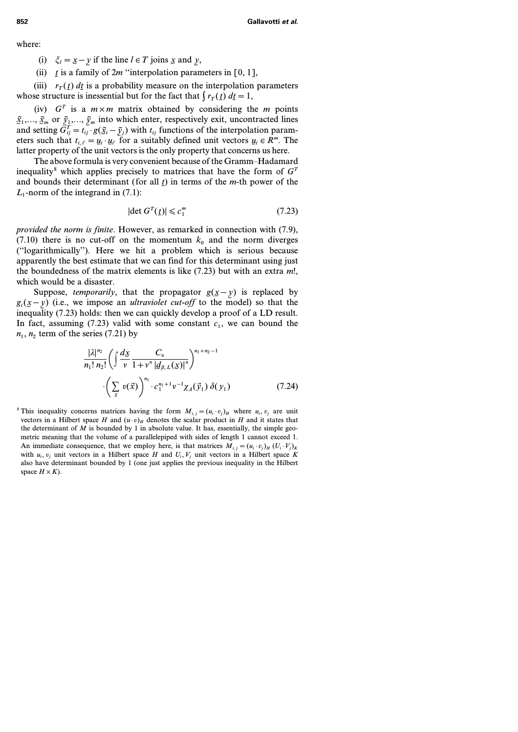where:

- (i)  $\xi_l = x y$  if the line  $l \in T$  joins  $\overline{x}$  and  $\overline{y}$ ,<br>  $\xi_l$  is a family of  $2m$  "internalation nanom
- (ii)  $\frac{t}{t}$  is a family of 2*m* "interpolation parameters in [0, 1],

(iii)  $r_T(t) dt$  is a probability measure on the interpolation parameters<br>se structure is inessential but for the fact that  $\int r(t) dt = 1$ whose structure is inessential but for the fact that  $\int r_T(\underline{t}) d\underline{t} = 1$ ,

(iv)  $G<sup>T</sup>$  is a  $m \times m$  matrix obtained by considering the *m* points  $\tilde{x}_1, \dots, \tilde{x}_m$  or  $\tilde{y}_1, \dots, \tilde{y}_m$  into which enter, respectively exit, uncontracted lines and setting  $\tilde{G}^T = t_1 \cdot g(\tilde{x} - \tilde{y})$  with  $t_1$  functions of the interpolation paramand setting  $\overline{G}^T_{ij} = t_{ij} \cdot g(\tilde{x}_i - \tilde{y}_j)$  with  $t_{ij}$  functions of the interpolation param-<br>eters such that  $t_{ij} = u_{ij}u_{ij}$  for a suitably defined unit vectors  $u \in \mathbb{R}^m$ . The eters such that  $t_{i,i'} = u_i \cdot u_i'$  for a suitably defined unit vectors  $u_i \in \mathbb{R}^m$ . The latter property of the unit vectors is the only property that concerns us here.

The above formula is very convenient because of the Gramm–Hadamard inequality<sup>8</sup> which applies precisely to matrices that have the form of  $G<sup>T</sup>$ and bounds their determinant (for all  $\underline{t}$ ) in terms of the *m*-th power of the  $\overline{t}$  -norm of the integrand in (7.1).  $L_1$ -norm of the integrand in (7.1):

$$
|\det G^T(\underline{t})| \leq c_1^m \tag{7.23}
$$

*provided the norm is finite*. However, as remarked in connection with (7.9),  $(7.10)$  there is no cut-off on the momentum  $k<sub>0</sub>$  and the norm diverges (''logarithmically''). Here we hit a problem which is serious because apparently the best estimate that we can find for this determinant using just the boundedness of the matrix elements is like (7.23) but with an extra *m!*, which would be a disaster.

Suppose, *temporarily*, that the propagator  $g(x-y)$  is replaced by<br> *i*) (i.e., we impose an *ultraviolat out off* to the model) so that the  $g_i(x-y)$  (i.e., we impose an *ultraviolet cut-off* to the model) so that the inequality (7.23) holds; then we can quickly develop a proof of a LD result. *¯* inequality (7.23) holds: then we can quickly develop a proof of a LD result. In fact, assuming (7.23) valid with some constant  $c_1$ , we can bound the  $n_1$ ,  $n_2$  term of the series (7.21) by

$$
\frac{|\lambda|^{n_2}}{n_1! \, n_2!} \left( \int \frac{dx}{\nu} \frac{C_\alpha}{1 + \nu^\alpha \, |d_{\beta, L}(\mathbf{x})|^\alpha} \right)^{n_1 + n_2 - 1} \cdot \left( \sum_{\vec{x}} \, v(\vec{x}) \right)^{n_1} \cdot c_1^{n_1 + 1} \nu^{-1} \chi_A(\vec{y}_1) \, \delta(\mathbf{y}_1) \tag{7.24}
$$

<sup>8</sup> This inequality concerns matrices having the form  $M_{i,j} = (u_i \cdot v_j)_H$  where  $u_i, v_j$  are unit vectors in a Hilbert space *H* and  $(u \cdot v)_H$  denotes the scalar product in *H* and it states that the determinant of *M* is bounded by *1* in absolute value. It has, essentially, the simple geometric meaning that the volume of a parallelepiped with sides of length *1* cannot exceed *1*. An immediate consequence, that we employ here, is that matrices  $M_{i,j} = (u_i \cdot v_j)_H (U_i \cdot V_j)_K$ with  $u_i$ ,  $v_i$  unit vectors in a Hilbert space *H* and  $U_i$ ,  $V_i$  unit vectors in a Hilbert space *K* also have determinant bounded by *1* (one just applies the previous inequality in the Hilbert space  $H \times K$ ).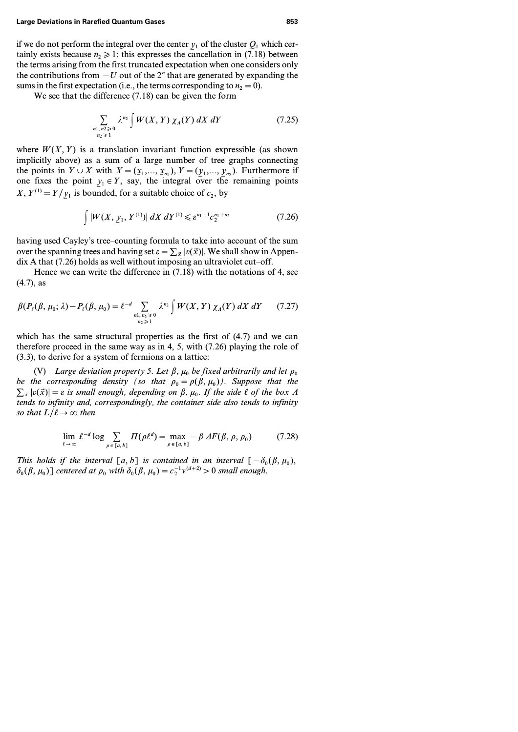if we do not perform the integral over the center  $y_1$  of the cluster  $Q_1$  which certainly exists because  $n_2 \ge 1$ : this expresses the cancellation in (7.18) between the terms arising from the first truncated expectation when one considers only the contributions from *− U* out of the *2<sup>n</sup>* that are generated by expanding the sums in the first expectation (i.e., the terms corresponding to  $n<sub>2</sub> = 0$ ).

We see that the difference (7.18) can be given the form

$$
\sum_{\substack{n_1, n_2 \geqslant 0 \\ n_2 \geqslant 1}} \lambda^{n_2} \int W(X, Y) \, \chi_A(Y) \, dX \, dY \tag{7.25}
$$

where  $W(X, Y)$  is a translation invariant function expressible (as shown implicitly above) as a sum of a large number of tree graphs connecting the points in  $Y \cup X$  with  $X = (x_1, \ldots, x_{n_1})$ ,  $Y = (y_1, \ldots, y_{n_2})$ . Furthermore if one fixes the point  $y_i \in Y$ , say, the integral over the remaining points one fixes the point  $y_1 \in Y$ , say, the integral over the remaining points *X*,  $Y^{(1)} = Y/\underline{y}_1$  is bounded, for a suitable choice of  $c_2$ , by

$$
\int |W(X, \underline{y}_1, Y^{(1)})| \, dX \, dY^{(1)} \leqslant \varepsilon^{n_1 - 1} c_2^{n_1 + n_2} \tag{7.26}
$$

having used Cayley's tree–counting formula to take into account of the sum over the spanning trees and having set  $\varepsilon = \sum_{\vec{x}} |v(\vec{x})|$ . We shall show in Appendix A that (7.26) holds as well without imposing an ultraviolet cut–off.

Hence we can write the difference in (7.18) with the notations of 4, see (4.7), as

$$
\beta(P_{\ell}(\beta,\mu_0;\lambda)-P_{\ell}(\beta,\mu_0)=\ell^{-d}\sum_{\substack{n_1,n_2\geqslant 0\\ n_2\geqslant 1}}\lambda^{n_2}\int W(X,Y)\,\chi_A(Y)\,dX\,dY\qquad(7.27)
$$

which has the same structural properties as the first of (4.7) and we can therefore proceed in the same way as in 4, 5, with (7.26) playing the role of (3.3), to derive for a system of fermions on a lattice:

(V) *Large deviation property 5. Let*  $\beta$ *,*  $\mu_0$  *be fixed arbitrarily and let*  $\rho_0$ *be the corresponding density (so that*  $\rho_0 = \rho(\beta, \mu_0)$ ). Suppose that the  $\sum_{\vec{x}} |v(\vec{x})| = \varepsilon$  *is small enough, depending on*  $\beta$ ,  $\mu_0$ *. If the side*  $\ell$  *of the box A tends to infinity and, correspondingly, the container side also tends to infinity so that*  $L/\ell \rightarrow \infty$  *then* 

$$
\lim_{\ell \to \infty} \ell^{-d} \log \sum_{\rho \in [a, b]} \Pi(\rho \ell^{d}) = \max_{\rho \in [a, b]} -\beta \Delta F(\beta, \rho, \rho_{0}) \tag{7.28}
$$

*This holds if the interval*  $[a, b]$  *is contained in an interval*  $[-\delta_0(\beta, \mu_0)]$ ,  $\delta_0(\beta,\mu_0)$ ] centered at  $\rho_0$  with  $\delta_0(\beta,\mu_0) = c_2^{-1}v^{(d+2)} > 0$  small enough.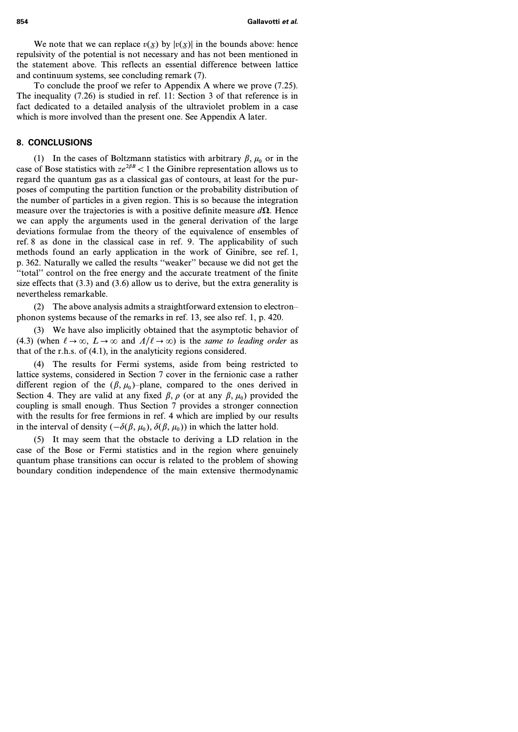We note that we can replace  $v(x)$  by  $|v(x)|$  in the bounds above: hence<br>leivity of the potential is not pecessary and has not been mentioned in repulsivity of the potential is not necessary and has not been mentioned in the statement above. This reflects an essential difference between lattice and continuum systems, see concluding remark (7).

To conclude the proof we refer to Appendix A where we prove (7.25). The inequality (7.26) is studied in ref. 11: Section 3 of that reference is in fact dedicated to a detailed analysis of the ultraviolet problem in a case which is more involved than the present one. See Appendix A later.

## **8. CONCLUSIONS**

(1) In the cases of Boltzmann statistics with arbitrary  $\beta$ ,  $\mu_0$  or in the case of Bose statistics with  $ze^{2\beta B}$  < 1 the Ginibre representation allows us to regard the quantum gas as a classical gas of contours, at least for the purposes of computing the partition function or the probability distribution of the number of particles in a given region. This is so because the integration measure over the trajectories is with a positive definite measure  $d\Omega$ . Hence we can apply the arguments used in the general derivation of the large deviations formulae from the theory of the equivalence of ensembles of ref. 8 as done in the classical case in ref. 9. The applicability of such methods found an early application in the work of Ginibre, see ref. 1, p. 362. Naturally we called the results ''weaker'' because we did not get the ''total'' control on the free energy and the accurate treatment of the finite size effects that (3.3) and (3.6) allow us to derive, but the extra generality is nevertheless remarkable.

(2) The above analysis admits a straightforward extension to electron– phonon systems because of the remarks in ref. 13, see also ref. 1, p. 420.

(3) We have also implicitly obtained that the asymptotic behavior of (4.3) (when  $\ell \to \infty$ ,  $L \to \infty$  and  $A/\ell \to \infty$ ) is the *same to leading order* as that of the r.h.s. of (4.1), in the analyticity regions considered.

(4) The results for Fermi systems, aside from being restricted to lattice systems, considered in Section 7 cover in the fernionic case a rather different region of the  $(\beta, \mu_0)$ –plane, compared to the ones derived in Section 4. They are valid at any fixed  $\beta$ ,  $\rho$  (or at any  $\beta$ ,  $\mu_0$ ) provided the coupling is small enough. Thus Section 7 provides a stronger connection with the results for free fermions in ref. 4 which are implied by our results in the interval of density  $(-\delta(\beta, \mu_0), \delta(\beta, \mu_0))$  in which the latter hold.

(5) It may seem that the obstacle to deriving a LD relation in the case of the Bose or Fermi statistics and in the region where genuinely quantum phase transitions can occur is related to the problem of showing boundary condition independence of the main extensive thermodynamic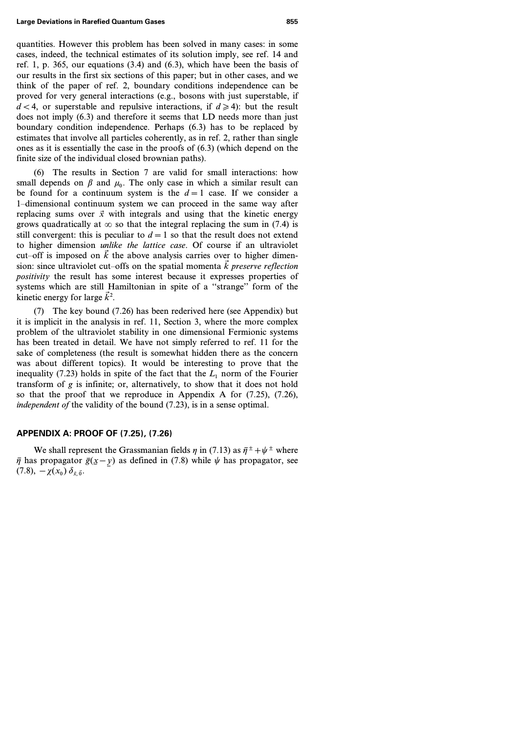quantities. However this problem has been solved in many cases: in some cases, indeed, the technical estimates of its solution imply, see ref. 14 and ref. 1, p. 365, our equations (3.4) and (6.3), which have been the basis of our results in the first six sections of this paper; but in other cases, and we think of the paper of ref. 2, boundary conditions independence can be proved for very general interactions (e.g., bosons with just superstable, if  $d < 4$ , or superstable and repulsive interactions, if  $d \ge 4$ ): but the result does not imply (6.3) and therefore it seems that LD needs more than just boundary condition independence. Perhaps (6.3) has to be replaced by estimates that involve all particles coherently, as in ref. 2, rather than single ones as it is essentially the case in the proofs of (6.3) (which depend on the finite size of the individual closed brownian paths).

(6) The results in Section 7 are valid for small interactions: how small depends on  $\beta$  and  $\mu_0$ . The only case in which a similar result can be found for a continuum system is the  $d=1$  case. If we consider a *1*–dimensional continuum system we can proceed in the same way after replacing sums over  $\vec{x}$  with integrals and using that the kinetic energy grows quadratically at  $\infty$  so that the integral replacing the sum in (7.4) is still convergent: this is peculiar to  $d=1$  so that the result does not extend to higher dimension *unlike the lattice case*. Of course if an ultraviolet cut–off is imposed on  $\vec{k}$  the above analysis carries over to higher dimension: since ultraviolet cut–offs on the spatial momenta  $\vec{k}$  *preserve reflection positivity* the result has some interest because it expresses properties of systems which are still Hamiltonian in spite of a ''strange'' form of the kinetic energy for large  $\vec{k}^2$ .

(7) The key bound (7.26) has been rederived here (see Appendix) but it is implicit in the analysis in ref. 11, Section 3, where the more complex problem of the ultraviolet stability in one dimensional Fermionic systems has been treated in detail. We have not simply referred to ref. 11 for the sake of completeness (the result is somewhat hidden there as the concern was about different topics). It would be interesting to prove that the inequality (7.23) holds in spite of the fact that the  $L_1$  norm of the Fourier transform of *g* is infinite; or, alternatively, to show that it does not hold so that the proof that we reproduce in Appendix A for (7.25), (7.26), *independent of* the validity of the bound (7.23), is in a sense optimal.

## **APPENDIX A: PROOF OF (7.25), (7.26)**

We shall represent the Grassmanian fields  $\eta$  in (7.13) as  $\bar{\eta}^{\pm} + \psi^{\pm}$  where  $\bar{\eta}$  has propagator  $\bar{g}(\underline{x}-\underline{y})$  as defined in (7.8) while  $\psi$  has propagator, see *¯*  $(7.8), -\chi(x_0) \delta_{\vec{x}, \vec{0}}.$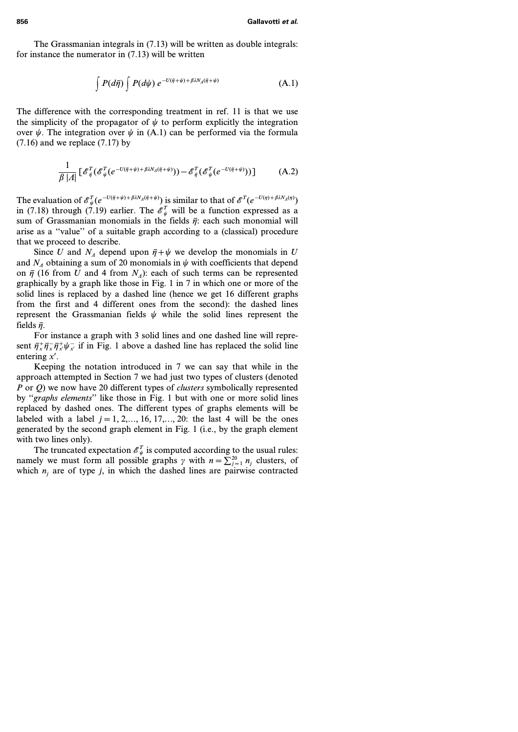The Grassmanian integrals in (7.13) will be written as double integrals: for instance the numerator in (7.13) will be written

$$
\int P(d\bar{\eta}) \int P(d\psi) e^{-U(\bar{\eta}+\psi)+\beta\lambda N_A(\bar{\eta}+\psi)}
$$
 (A.1)

The difference with the corresponding treatment in ref. 11 is that we use the simplicity of the propagator of  $\psi$  to perform explicitly the integration over  $\psi$ . The integration over  $\psi$  in (A.1) can be performed via the formula  $(7.16)$  and we replace  $(7.17)$  by

$$
\frac{1}{\beta} \left[ \mathcal{E}_{\bar{\eta}}^T (\mathcal{E}_{\psi}^T (e^{-U(\bar{\eta}+\psi)+\beta\lambda N_A(\bar{\eta}+\psi)})) - \mathcal{E}_{\bar{\eta}}^T (\mathcal{E}_{\psi}^T (e^{-U(\bar{\eta}+\psi)})) \right]
$$
(A.2)

The evaluation of  $\mathscr{E}_{\psi}^{T}(e^{-U(\bar{\eta}+\psi)+\beta\lambda N_A(\bar{\eta}+\psi)})$  is similar to that of  $\mathscr{E}^{T}(e^{-U(\eta)+\beta\lambda N_A(\eta)})$ in (7.18) through (7.19) earlier. The  $\mathscr{E}_{\psi}^{T}$  will be a function expressed as a sum of Grassmanian monomials in the fields  $\bar{\eta}$ : each such monomial will arise as a ''value'' of a suitable graph according to a (classical) procedure that we proceed to describe.

Since *U* and  $N_A$  depend upon  $\bar{\eta} + \psi$  we develop the monomials in *U* and  $N_A$  obtaining a sum of 20 monomials in  $\psi$  with coefficients that depend on  $\bar{\eta}$  (16 from *U* and 4 from  $N_A$ ): each of such terms can be represented graphically by a graph like those in Fig. 1 in 7 in which one or more of the solid lines is replaced by a dashed line (hence we get *16* different graphs from the first and *4* different ones from the second): the dashed lines represent the Grassmanian fields  $\psi$  while the solid lines represent the fields  $\bar{n}$ .

For instance a graph with *3* solid lines and one dashed line will represent  $\bar{\eta}_x^+ \bar{\eta}_x^- \bar{\eta}_x^+ \psi_x^-$  if in Fig. 1 above a dashed line has replaced the solid line entering *x'*.

Keeping the notation introduced in 7 we can say that while in the approach attempted in Section 7 we had just two types of clusters (denoted *P* or *Q*) we now have *20* different types of *clusters* symbolically represented by ''*graphs elements*'' like those in Fig. 1 but with one or more solid lines replaced by dashed ones. The different types of graphs elements will be labeled with a label  $j = 1, 2, ..., 16, 17, ..., 20$ : the last 4 will be the ones generated by the second graph element in Fig. 1 (i.e., by the graph element with two lines only).

The truncated expectation  $\mathscr{E}_{\psi}^{T}$  is computed according to the usual rules: namely we must form all possible graphs  $\gamma$  with  $n = \sum_{j=1}^{20} n_j$  clusters, of which  $n_i$  are of type  $j$ , in which the dashed lines are pairwise contracted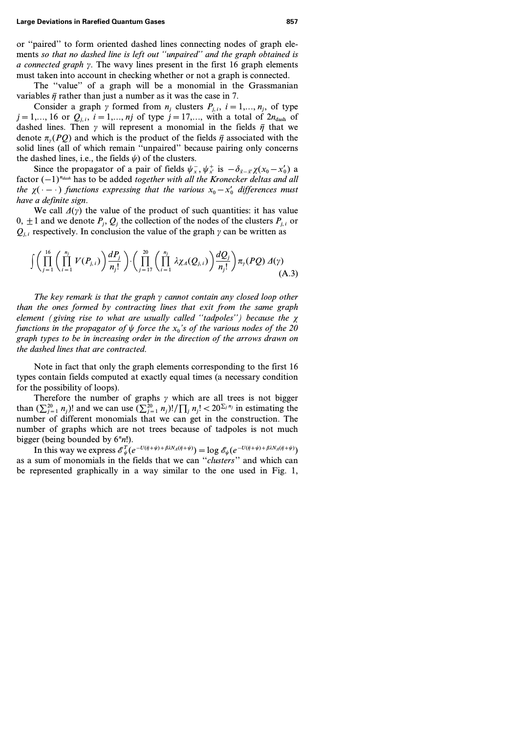or ''paired'' to form oriented dashed lines connecting nodes of graph elements *so that no dashed line is left out ''unpaired'' and the graph obtained is a connected graph*  $\gamma$ . The wavy lines present in the first 16 graph elements must taken into account in checking whether or not a graph is connected.

The "value" of a graph will be a monomial in the Grassmanian variables  $\bar{\eta}$  rather than just a number as it was the case in 7.

Consider a graph  $\gamma$  formed from  $n_i$  clusters  $P_{i,i}$ ,  $i=1,\ldots,n_i$ , of type *j* = 1,..., 16 or  $Q_{i,i}$ , *i* = 1,..., *nj* of type *j* = 17,..., with a total of  $2n_{\text{dash}}$  of dashed lines. Then  $\gamma$  will represent a monomial in the fields  $\bar{\eta}$  that we denote  $\pi_{\nu}(PQ)$  and which is the product of the fields  $\bar{\eta}$  associated with the solid lines (all of which remain ''unpaired'' because pairing only concerns the dashed lines, i.e., the fields  $\psi$ ) of the clusters.

Since the propagator of a pair of fields  $\psi_x^-, \psi_x^+$  is  $-\delta_{\tilde{x}-\tilde{x}}\chi(x_0-x'_0)$  a factor *(−1)ndash* has to be added *together with all the Kronecker deltas and all the*  $\chi(\cdot - \cdot)$  *functions expressing that the various*  $x_0 - x'_0$  *differences must have a definite sign*.

We call  $\Delta(\gamma)$  the value of the product of such quantities: it has value  $0, \pm 1$  and we denote  $P_i, Q_i$  the collection of the nodes of the clusters  $P_{i,i}$  or  $Q_{i,i}$  respectively. In conclusion the value of the graph  $\gamma$  can be written as

$$
\int \left( \prod_{j=1}^{16} \left( \prod_{i=1}^{n_j} V(P_{j,i}) \right) \frac{dP_j}{n_j!} \right) \cdot \left( \prod_{j=17}^{20} \left( \prod_{i=1}^{n_j} \lambda \chi_A(Q_{j,i}) \right) \frac{dQ_j}{n_j!} \right) \pi_{\gamma}(PQ) \Delta(\gamma) \tag{A.3}
$$

*The key remark is that the graph*  $\gamma$  *cannot contain any closed loop other than the ones formed by contracting lines that exit from the same graph element (giving rise to what are usually called ''tadpoles'') because the q functions in the propagator of*  $\psi$  *force the*  $x_0$ *'s of the various nodes of the* 20 *graph types to be in increasing order in the direction of the arrows drawn on the dashed lines that are contracted.*

Note in fact that only the graph elements corresponding to the first *16* types contain fields computed at exactly equal times (a necessary condition for the possibility of loops).

Therefore the number of graphs  $\gamma$  which are all trees is not bigger than  $(\sum_{j=1}^{20} n_j)!$  and we can use  $(\sum_{j=1}^{20} n_j)! / \prod_j n_j! < 20^{\sum_j n_j}$  in estimating the number of different monomials that we can get in the construction. The number of graphs which are not trees because of tadpoles is not much bigger (being bounded by *6<sup>n</sup> n!*).

In this way we express  $\mathscr{E}_{\psi}^{T}(e^{-U(\bar{\eta}+\psi)+\beta\lambda N_A(\bar{\eta}+\psi)}) = \log \mathscr{E}_{\psi}(e^{-U(\bar{\eta}+\psi)+\beta\lambda N_A(\bar{\eta}+\psi)})$ as a sum of monomials in the fields that we can ''*clusters*'' and which can be represented graphically in a way similar to the one used in Fig. 1,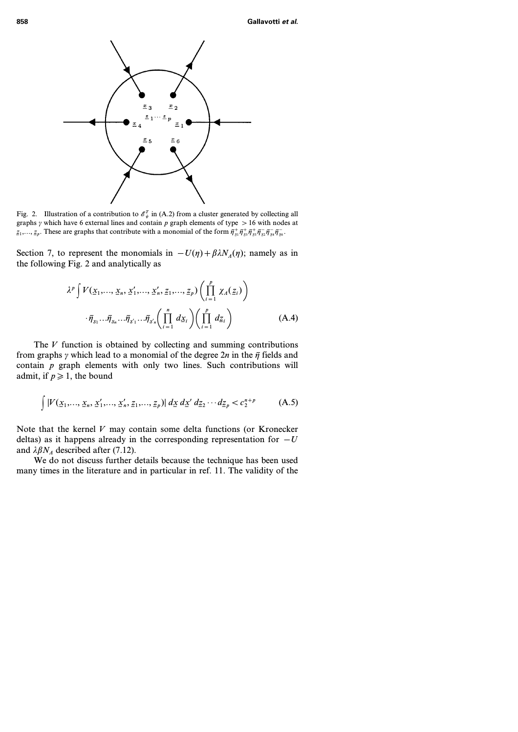

Fig. 2. Illustration of a contribution to  $\mathscr{E}_{\psi}^{T}$  in (A.2) from a cluster generated by collecting all graphs  $\gamma$  which have 6 external lines and contain  $p$  graph elements of type  $> 16$  with nodes at  $\underline{z}_1,..., \underline{z}_p$ . These are graphs that contribute with a monomial of the form  $\overline{\eta}_{\underline{x}_1}^+ \overline{\eta}_{\underline{x}_3}^+ \overline{\eta}_{\underline{x}_2}^- \overline{\eta}_{\underline{x}_4}^- \overline{\eta}_{\underline{x}_6}$ .

Section 7, to represent the monomials in  $-U(\eta) + \beta \lambda N_{\lambda}(\eta)$ ; namely as in the following Fig. 2 and analytically as

$$
\lambda^p \int V(\underline{x}_1, \dots, \underline{x}_n, \underline{x}'_1, \dots, \underline{x}'_n, \underline{z}_1, \dots, \underline{z}_p) \left( \prod_{i=1}^p \chi_A(\underline{z}_i) \right)
$$

$$
\cdot \overline{\eta}_{\underline{x}_1} \dots \overline{\eta}_{\underline{x}_n} \dots \overline{\eta}_{\underline{x}'_1} \dots \overline{\eta}_{\underline{x}'_n} \left( \prod_{i=1}^n d\underline{x}_i \right) \left( \prod_{i=1}^p d\underline{z}_i \right) \tag{A.4}
$$

The *V* function is obtained by collecting and summing contributions from graphs  $\gamma$  which lead to a monomial of the degree  $2n$  in the  $\bar{\eta}$  fields and contain *p* graph elements with only two lines. Such contributions will admit, if  $p \ge 1$ , the bound

$$
\int |V(\underline{x}_1, ..., \underline{x}_n, \underline{x}'_1, ..., \underline{x}'_n, \underline{z}_1, ..., \underline{z}_p)| \, d\underline{x} \, d\underline{x}' \, d\underline{z}_2 \cdots d\underline{z}_p < c_2^{n+p} \tag{A.5}
$$

Note that the kernel *V* may contain some delta functions (or Kronecker deltas) as it happens already in the corresponding representation for *− U* and  $\lambda \beta N_A$  described after (7.12).

We do not discuss further details because the technique has been used many times in the literature and in particular in ref. 11. The validity of the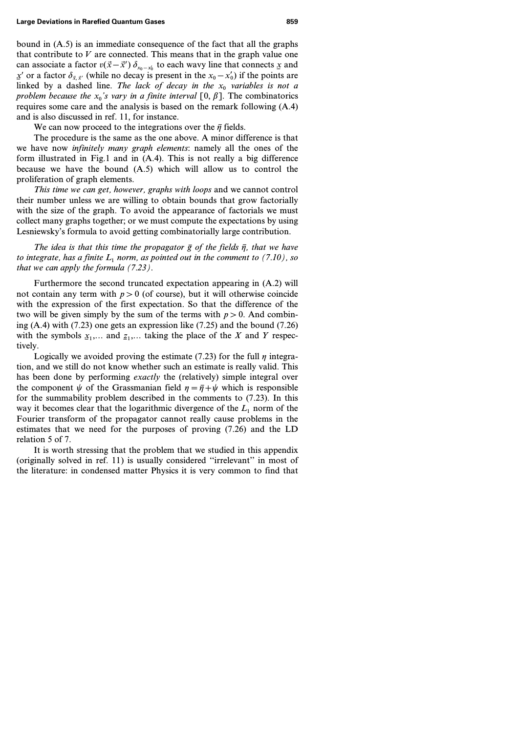bound in (A.5) is an immediate consequence of the fact that all the graphs that contribute to  $V$  are connected. This means that in the graph value one can associate a factor  $v(\vec{x} - \vec{x}') \delta_{x_0 - x_0}$  to each wavy line that connects *x* and  $x'$  or a factor  $\delta$  (while no decay is present in the  $x - x'$ ) if the points are  $x'$  or a factor  $\delta_{\vec{x}, \vec{x}'}$  (while no decay is present in the  $x_0 - x'_0$ ) if the points are  $\frac{1}{2}$  or a ratter  $\sigma_{x_i x_i}$  (while he decay is present in the  $x_0$  *variables is not a* linked by a dashed line. *The lack of decay in the*  $x_0$  *variables is not a problem because the*  $x_0$ 's vary in a finite interval  $[0, \beta]$ . The combinatorics requires some care and the analysis is based on the remark following (A.4) and is also discussed in ref. 11, for instance.

We can now proceed to the integrations over the  $\bar{\eta}$  fields.

The procedure is the same as the one above. A minor difference is that we have now *infinitely many graph elements*: namely all the ones of the form illustrated in Fig.1 and in (A.4). This is not really a big difference because we have the bound (A.5) which will allow us to control the proliferation of graph elements.

*This time we can get, however, graphs with loops* and we cannot control their number unless we are willing to obtain bounds that grow factorially with the size of the graph. To avoid the appearance of factorials we must collect many graphs together; or we must compute the expectations by using Lesniewsky's formula to avoid getting combinatorially large contribution.

*The idea is that this time the propagator*  $\bar{g}$  *of the fields*  $\bar{\eta}$ *, that we have to integrate, has a finite L<sup>1</sup> norm, as pointed out in the comment to (7.10), so that we can apply the formula (7.23).*

Furthermore the second truncated expectation appearing in (A.2) will not contain any term with  $p>0$  (of course), but it will otherwise coincide with the expression of the first expectation. So that the difference of the two will be given simply by the sum of the terms with  $p > 0$ . And combining (A.4) with (7.23) one gets an expression like (7.25) and the bound (7.26) with the symbols  $x_1, \ldots$  and  $z_1, \ldots$  taking the place of the *X* and *Y* respectively. tively.

Logically we avoided proving the estimate  $(7.23)$  for the full  $\eta$  integration, and we still do not know whether such an estimate is really valid. This has been done by performing *exactly* the (relatively) simple integral over the component  $\psi$  of the Grassmanian field  $\eta = \bar{\eta} + \psi$  which is responsible for the summability problem described in the comments to (7.23). In this way it becomes clear that the logarithmic divergence of the  $L<sub>1</sub>$  norm of the Fourier transform of the propagator cannot really cause problems in the estimates that we need for the purposes of proving (7.26) and the LD relation 5 of 7.

It is worth stressing that the problem that we studied in this appendix (originally solved in ref. 11) is usually considered ''irrelevant'' in most of the literature: in condensed matter Physics it is very common to find that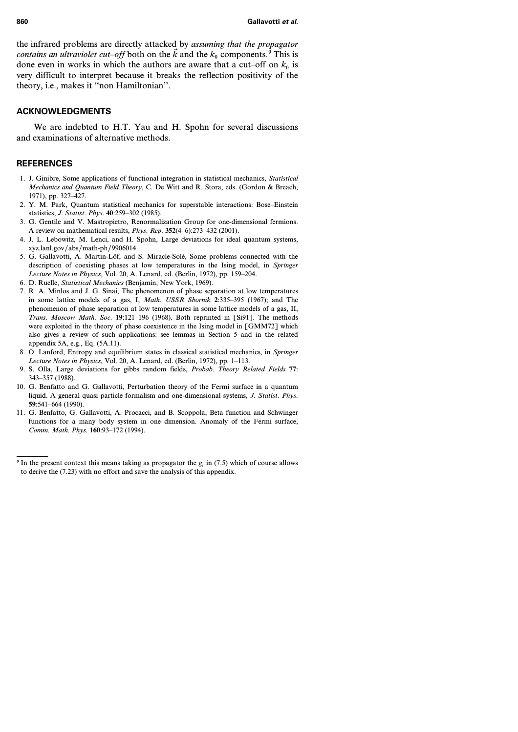the infrared problems are directly attacked by *assuming that the propagator contains an ultraviolet cut–off* both on the  $\vec{k}$  and the  $k_0$  components.<sup>9</sup> This is done even in works in which the authors are aware that a cut–off on  $k<sub>0</sub>$  is very difficult to interpret because it breaks the reflection positivity of the theory, i.e., makes it ''non Hamiltonian''.

## **ACKNOWLEDGMENTS**

We are indebted to H.T. Yau and H. Spohn for several discussions and examinations of alternative methods.

## **REFERENCES**

- 1. J. Ginibre, Some applications of functional integration in statistical mechanics, *Statistical Mechanics and Quantum Field Theory*, C. De Witt and R. Stora, eds. (Gordon & Breach, 1971), pp. 327–427.
- 2. Y. M. Park, Quantum statistical mechanics for superstable interactions: Bose–Einstein statistics, *J. Statist. Phys.* **40**:259–302 (1985).
- 3. G. Gentile and V. Mastropietro, Renormalization Group for one-dimensional fermions. A review on mathematical results, *Phys. Rep.* **352**(4–6):273–432 (2001).
- 4. J. L. Lebowitz, M. Lenci, and H. Spohn, Large deviations for ideal quantum systems, xyz.lanl.gov/abs/math-ph/9906014.
- 5. G. Gallavotti, A. Martin-Löf, and S. Miracle-Solé, Some problems connected with the description of coexisting phases at low temperatures in the Ising model, in *Springer Lecture Notes in Physics*, Vol. 20, A. Lenard, ed. (Berlin, 1972), pp. 159–204.
- 6. D. Ruelle, *Statistical Mechanics* (Benjamin, New York, 1969).
- 7. R. A. Minlos and J. G. Sinai, The phenomenon of phase separation at low temperatures in some lattice models of a gas, I, *Math. USSR Sbornik* **2**:335–395 (1967); and The phenomenon of phase separation at low temperatures in some lattice models of a gas, II, *Trans. Moscow Math. Soc.* **19**:121–196 (1968). Both reprinted in [Si91]. The methods were exploited in the theory of phase coexistence in the Ising model in [GMM72] which also gives a review of such applications: see lemmas in Section 5 and in the related appendix 5A, e.g., Eq. (5A.11).
- 8. O. Lanford, Entropy and equilibrium states in classical statistical mechanics, in *Springer Lecture Notes in Physics*, Vol. 20, A. Lenard, ed. (Berlin, 1972), pp. 1–113.
- 9. S. Olla, Large deviations for gibbs random fields, *Probab. Theory Related Fields* **77**: 343–357 (1988).
- 10. G. Benfatto and G. Gallavotti, Perturbation theory of the Fermi surface in a quantum liquid. A general quasi particle formalism and one-dimensional systems, *J. Statist. Phys.* **59**:541–664 (1990).
- 11. G. Benfatto, G. Gallavotti, A. Procacci, and B. Scoppola, Beta function and Schwinger functions for a many body system in one dimension. Anomaly of the Fermi surface, *Comm. Math. Phys.* **160**:93–172 (1994).

<sup>&</sup>lt;sup>9</sup> In the present context this means taking as propagator the  $g_i$  in (7.5) which of course allows to derive the (7.23) with no effort and save the analysis of this appendix.